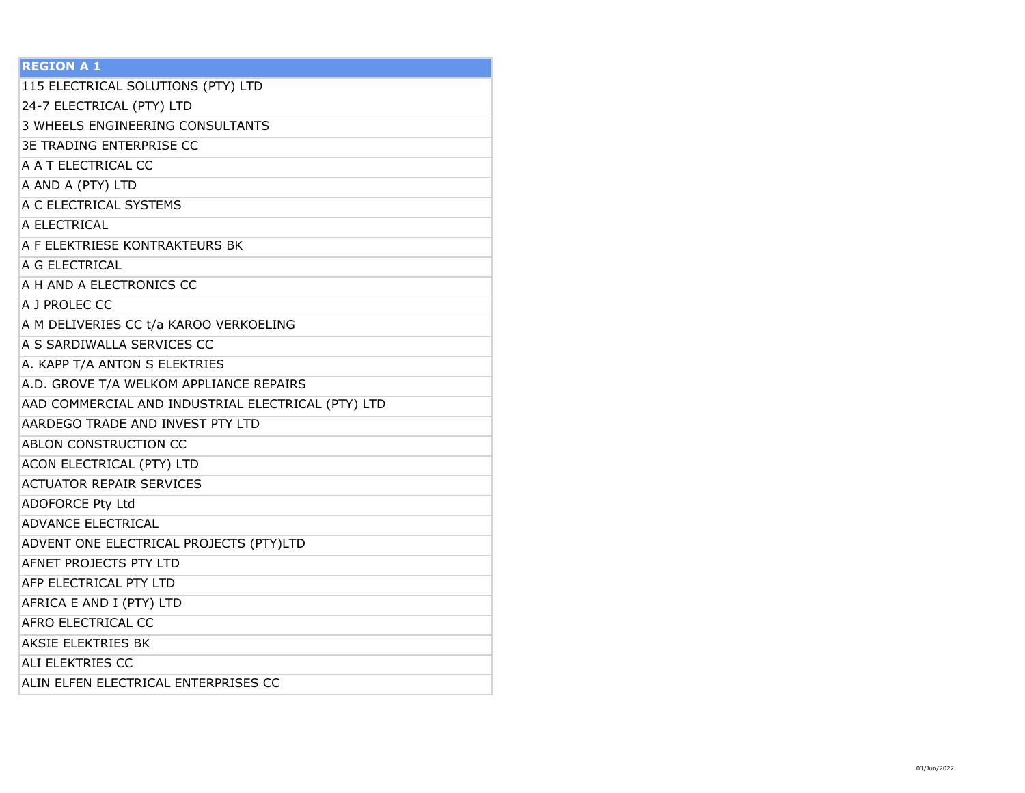| <b>REGION A 1</b>                                  |
|----------------------------------------------------|
| 115 ELECTRICAL SOLUTIONS (PTY) LTD                 |
| 24-7 ELECTRICAL (PTY) LTD                          |
| 3 WHEELS ENGINEERING CONSULTANTS                   |
| <b>3E TRADING ENTERPRISE CC</b>                    |
| A A T ELECTRICAL CC                                |
| A AND A (PTY) LTD                                  |
| A C ELECTRICAL SYSTEMS                             |
| A ELECTRICAL                                       |
| A F ELEKTRIESE KONTRAKTEURS BK                     |
| A G ELECTRICAL                                     |
| A H AND A ELECTRONICS CC                           |
| A J PROLEC CC                                      |
| A M DELIVERIES CC t/a KAROO VERKOELING             |
| A S SARDIWALLA SERVICES CC                         |
| A. KAPP T/A ANTON S ELEKTRIES                      |
| A.D. GROVE T/A WELKOM APPLIANCE REPAIRS            |
| AAD COMMERCIAL AND INDUSTRIAL ELECTRICAL (PTY) LTD |
| AARDEGO TRADE AND INVEST PTY LTD                   |
| ABLON CONSTRUCTION CC                              |
| ACON ELECTRICAL (PTY) LTD                          |
| <b>ACTUATOR REPAIR SERVICES</b>                    |
| <b>ADOFORCE Pty Ltd</b>                            |
| <b>ADVANCE ELECTRICAL</b>                          |
| ADVENT ONE ELECTRICAL PROJECTS (PTY)LTD            |
| AFNET PROJECTS PTY LTD                             |
| AFP ELECTRICAL PTY LTD                             |
| AFRICA E AND I (PTY) LTD                           |
| AFRO ELECTRICAL CC                                 |
| <b>AKSIE ELEKTRIES BK</b>                          |
| ALI ELEKTRIES CC                                   |
| ALIN ELFEN ELECTRICAL ENTERPRISES CC               |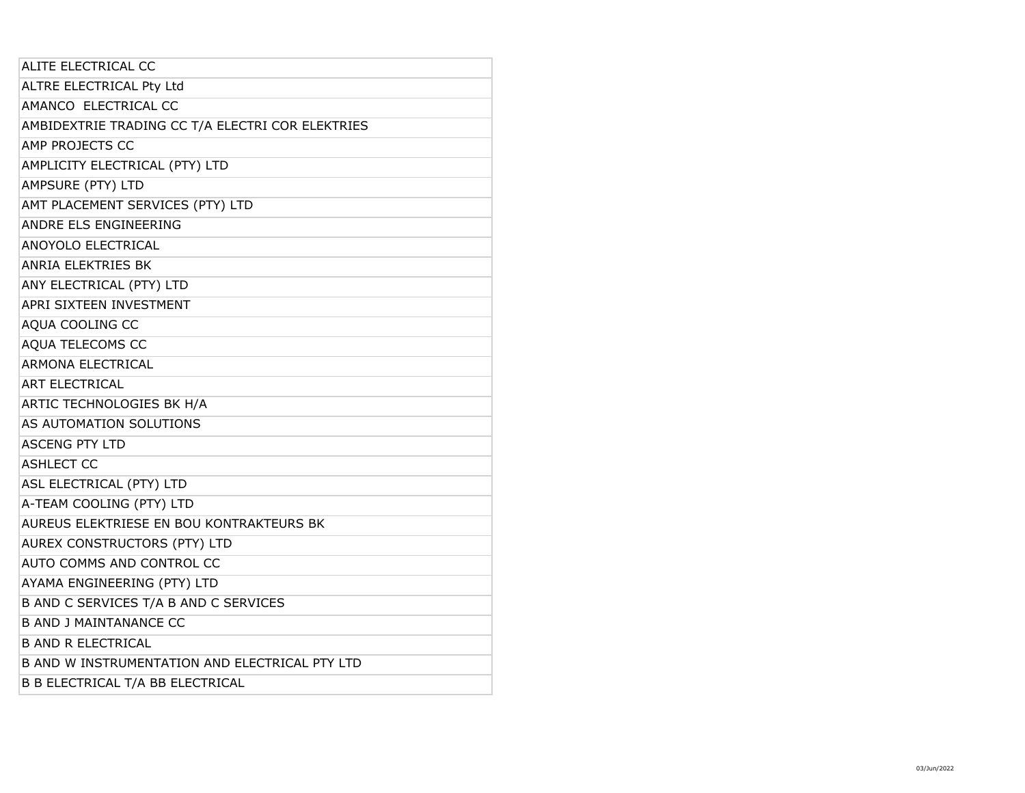| ALITE ELECTRICAL CC                              |
|--------------------------------------------------|
| ALTRE ELECTRICAL Pty Ltd                         |
| AMANCO ELECTRICAL CC                             |
| AMBIDEXTRIE TRADING CC T/A ELECTRI COR ELEKTRIES |
| AMP PROJECTS CC                                  |
| AMPLICITY ELECTRICAL (PTY) LTD                   |
| AMPSURE (PTY) LTD                                |
| AMT PLACEMENT SERVICES (PTY) LTD                 |
| ANDRE ELS ENGINEERING                            |
| ANOYOLO ELECTRICAL                               |
| <b>ANRIA ELEKTRIES BK</b>                        |
| ANY ELECTRICAL (PTY) LTD                         |
| APRI SIXTEEN INVESTMENT                          |
| AQUA COOLING CC                                  |
| AQUA TELECOMS CC                                 |
| <b>ARMONA ELECTRICAL</b>                         |
| <b>ART ELECTRICAL</b>                            |
| ARTIC TECHNOLOGIES BK H/A                        |
| AS AUTOMATION SOLUTIONS                          |
| <b>ASCENG PTY LTD</b>                            |
| <b>ASHLECT CC</b>                                |
| ASL ELECTRICAL (PTY) LTD                         |
| A-TEAM COOLING (PTY) LTD                         |
| AUREUS ELEKTRIESE EN BOU KONTRAKTEURS BK         |
| AUREX CONSTRUCTORS (PTY) LTD                     |
| AUTO COMMS AND CONTROL CC                        |
| AYAMA ENGINEERING (PTY) LTD                      |
| B AND C SERVICES T/A B AND C SERVICES            |
| <b>B AND J MAINTANANCE CC</b>                    |
| <b>B AND R ELECTRICAL</b>                        |
| B AND W INSTRUMENTATION AND ELECTRICAL PTY LTD   |
| <b>B B ELECTRICAL T/A BB ELECTRICAL</b>          |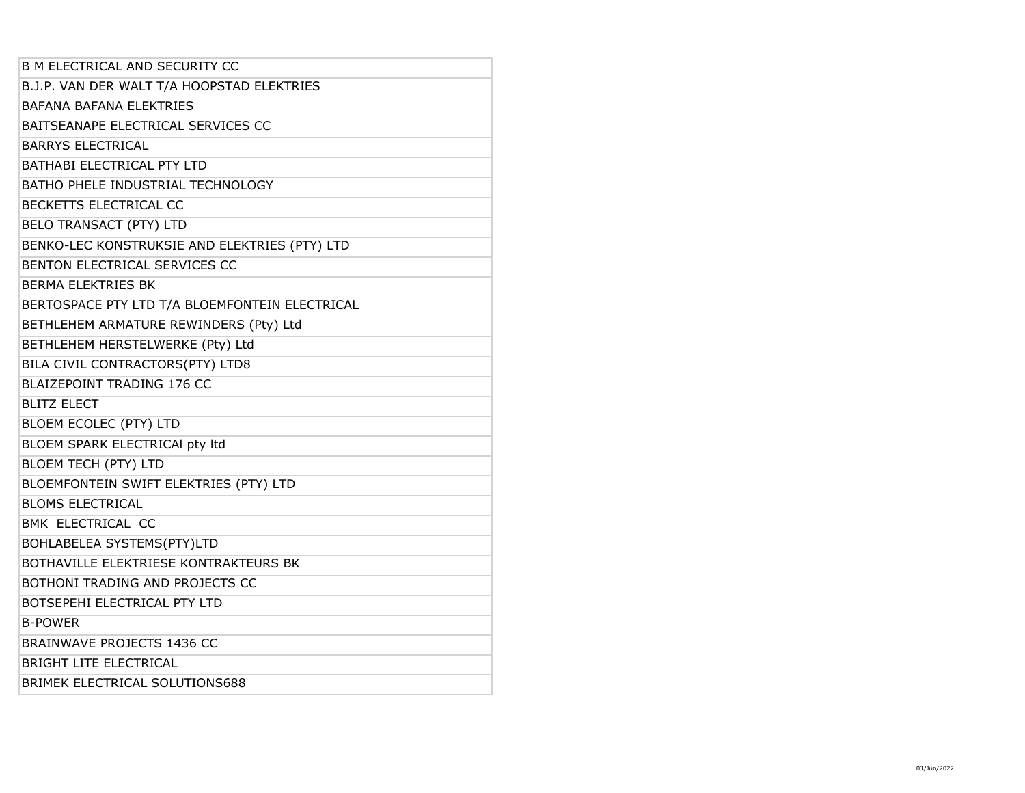| <b>B M ELECTRICAL AND SECURITY CC</b>          |
|------------------------------------------------|
| B.J.P. VAN DER WALT T/A HOOPSTAD ELEKTRIES     |
| <b>BAFANA BAFANA ELEKTRIES</b>                 |
| BAITSEANAPE ELECTRICAL SERVICES CC             |
| <b>BARRYS ELECTRICAL</b>                       |
| <b>BATHABI ELECTRICAL PTY LTD</b>              |
| BATHO PHELE INDUSTRIAL TECHNOLOGY              |
| BECKETTS ELECTRICAL CC                         |
| <b>BELO TRANSACT (PTY) LTD</b>                 |
| BENKO-LEC KONSTRUKSIE AND ELEKTRIES (PTY) LTD  |
| BENTON ELECTRICAL SERVICES CC                  |
| <b>BERMA ELEKTRIES BK</b>                      |
| BERTOSPACE PTY LTD T/A BLOEMFONTEIN ELECTRICAL |
| BETHLEHEM ARMATURE REWINDERS (Pty) Ltd         |
| BETHLEHEM HERSTELWERKE (Pty) Ltd               |
| BILA CIVIL CONTRACTORS(PTY) LTD8               |
| BLAIZEPOINT TRADING 176 CC                     |
|                                                |
| <b>BLITZ ELECT</b>                             |
| BLOEM ECOLEC (PTY) LTD                         |
| BLOEM SPARK ELECTRICAl pty Itd                 |
| BLOEM TECH (PTY) LTD                           |
| BLOEMFONTEIN SWIFT ELEKTRIES (PTY) LTD         |
| <b>BLOMS ELECTRICAL</b>                        |
| BMK ELECTRICAL CC                              |
| BOHLABELEA SYSTEMS(PTY)LTD                     |
| BOTHAVILLE ELEKTRIESE KONTRAKTEURS BK          |
| BOTHONI TRADING AND PROJECTS CC                |
| BOTSEPEHI ELECTRICAL PTY LTD                   |
| <b>B-POWFR</b>                                 |
| BRAINWAVE PROJECTS 1436 CC                     |
| <b>BRIGHT LITE ELECTRICAL</b>                  |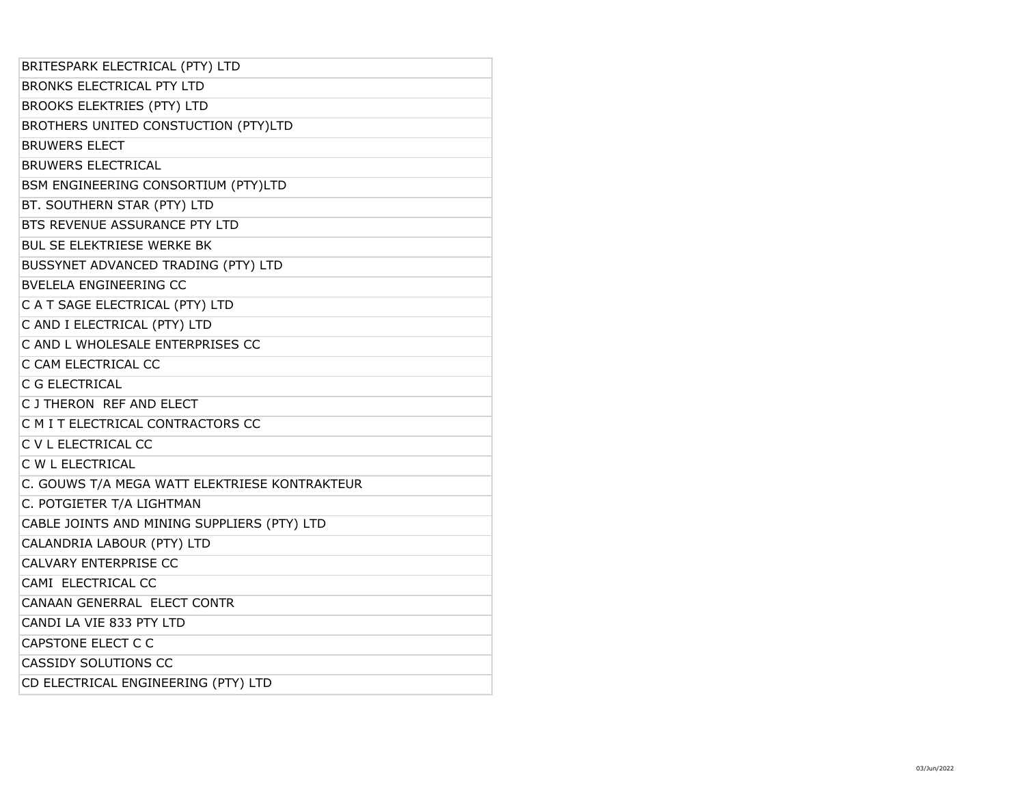| BRITESPARK ELECTRICAL (PTY) LTD               |
|-----------------------------------------------|
| <b>BRONKS ELECTRICAL PTY LTD</b>              |
| <b>BROOKS ELEKTRIES (PTY) LTD</b>             |
| BROTHERS UNITED CONSTUCTION (PTY)LTD          |
| <b>BRUWERS ELECT</b>                          |
| <b>BRUWERS ELECTRICAL</b>                     |
| BSM ENGINEERING CONSORTIUM (PTY)LTD           |
| BT. SOUTHERN STAR (PTY) LTD                   |
| BTS REVENUE ASSURANCE PTY LTD                 |
| <b>BUL SE ELEKTRIESE WERKE BK</b>             |
| BUSSYNET ADVANCED TRADING (PTY) LTD           |
| <b>BVELELA ENGINEERING CC</b>                 |
| C A T SAGE ELECTRICAL (PTY) LTD               |
| C AND I ELECTRICAL (PTY) LTD                  |
| C AND L WHOLESALE ENTERPRISES CC              |
| C CAM ELECTRICAL CC                           |
| C G ELECTRICAL                                |
| C J THERON REF AND ELECT                      |
| C M I T ELECTRICAL CONTRACTORS CC             |
| C V L ELECTRICAL CC                           |
| C W L ELECTRICAL                              |
| C. GOUWS T/A MEGA WATT ELEKTRIESE KONTRAKTEUR |
| C. POTGIETER T/A LIGHTMAN                     |
| CABLE JOINTS AND MINING SUPPLIERS (PTY) LTD   |
| CALANDRIA LABOUR (PTY) LTD                    |
| CALVARY ENTERPRISE CC                         |
| CAMI ELECTRICAL CC                            |
| CANAAN GENERRAL ELECT CONTR                   |
| CANDI LA VIE 833 PTY LTD                      |
| CAPSTONE ELECT C C                            |
| <b>CASSIDY SOLUTIONS CC</b>                   |
| CD ELECTRICAL ENGINEERING (PTY) LTD           |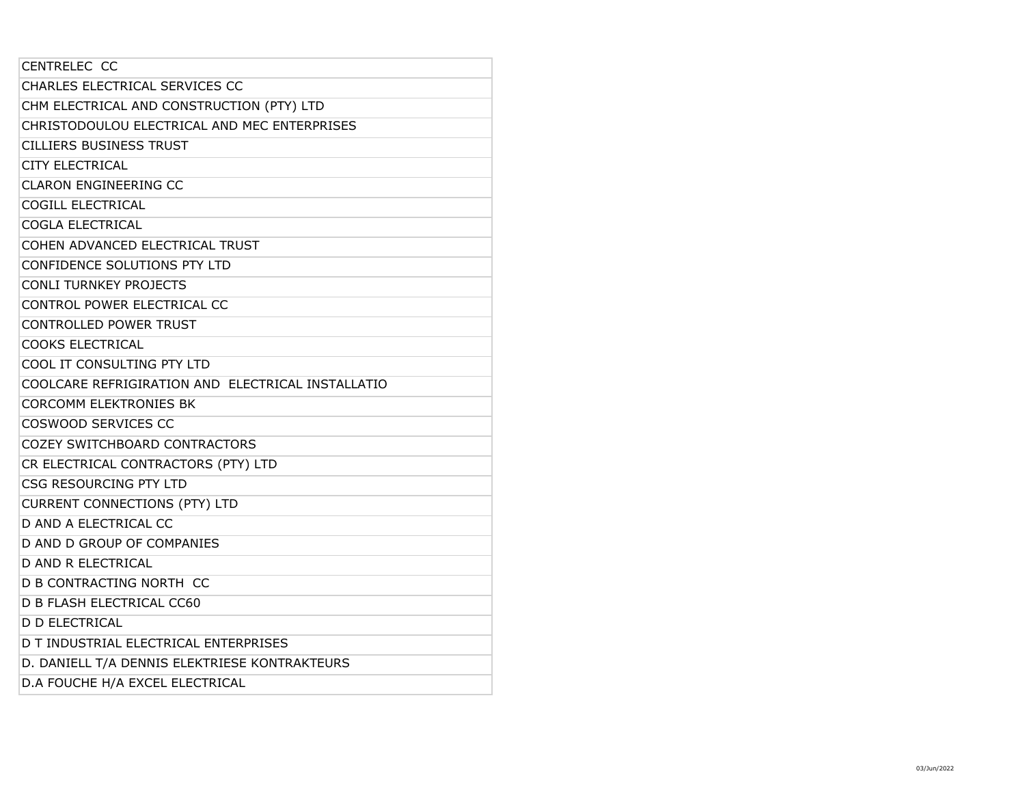| CENTRELEC CC                                      |
|---------------------------------------------------|
| CHARLES ELECTRICAL SERVICES CC                    |
| CHM ELECTRICAL AND CONSTRUCTION (PTY) LTD         |
| CHRISTODOULOU ELECTRICAL AND MEC ENTERPRISES      |
| <b>CILLIERS BUSINESS TRUST</b>                    |
| <b>CITY ELECTRICAL</b>                            |
| <b>CLARON ENGINEERING CC</b>                      |
| COGILL ELECTRICAL                                 |
| COGLA ELECTRICAL                                  |
| COHEN ADVANCED ELECTRICAL TRUST                   |
| CONFIDENCE SOLUTIONS PTY LTD                      |
| <b>CONLI TURNKEY PROJECTS</b>                     |
| CONTROL POWER ELECTRICAL CC                       |
| <b>CONTROLLED POWER TRUST</b>                     |
| <b>COOKS ELECTRICAL</b>                           |
| COOL IT CONSULTING PTY LTD                        |
| COOLCARE REFRIGIRATION AND ELECTRICAL INSTALLATIO |
| <b>CORCOMM ELEKTRONIES BK</b>                     |
| COSWOOD SERVICES CC                               |
| <b>COZEY SWITCHBOARD CONTRACTORS</b>              |
| CR ELECTRICAL CONTRACTORS (PTY) LTD               |
| CSG RESOURCING PTY LTD                            |
| <b>CURRENT CONNECTIONS (PTY) LTD</b>              |
| <b>D AND A ELECTRICAL CC</b>                      |
| D AND D GROUP OF COMPANIES                        |
| <b>D AND R ELECTRICAL</b>                         |
| D B CONTRACTING NORTH CC                          |
| <b>D B FLASH ELECTRICAL CC60</b>                  |
| <b>D D ELECTRICAL</b>                             |
| D T INDUSTRIAL ELECTRICAL ENTERPRISES             |
| D. DANIELL T/A DENNIS ELEKTRIESE KONTRAKTEURS     |
| D.A FOUCHE H/A EXCEL ELECTRICAL                   |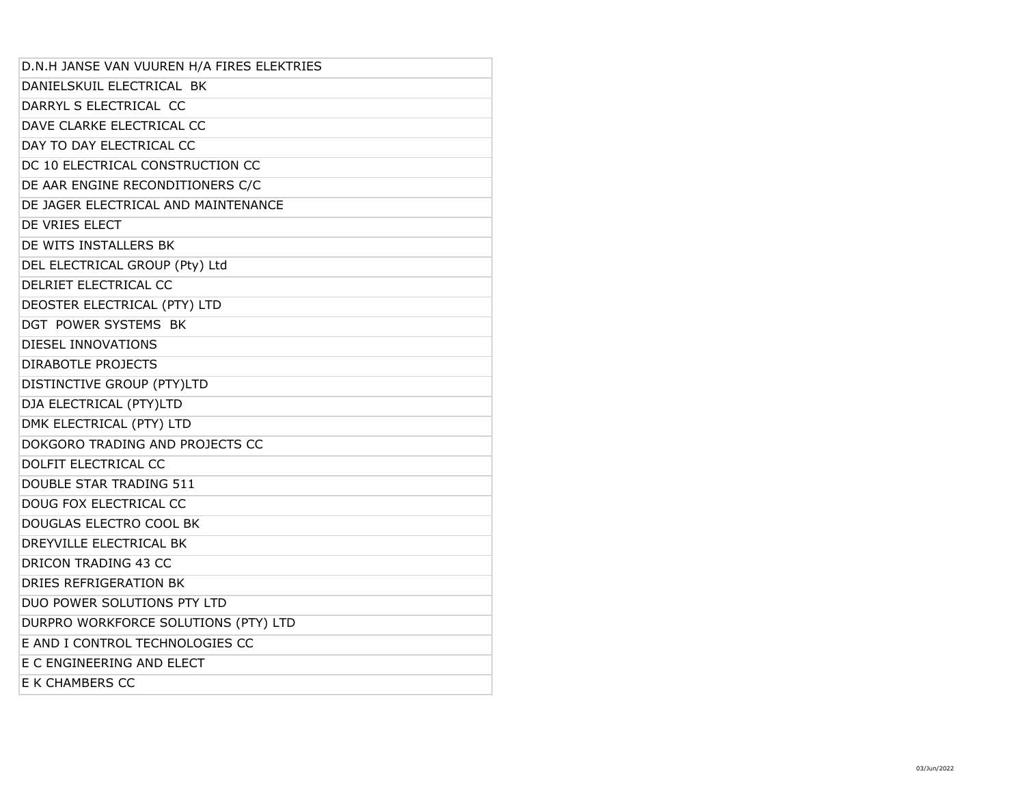| D.N.H JANSE VAN VUUREN H/A FIRES ELEKTRIES |
|--------------------------------------------|
| DANIELSKUIL ELECTRICAL BK                  |
| DARRYL S ELECTRICAL CC                     |
| DAVE CLARKE ELECTRICAL CC                  |
| DAY TO DAY ELECTRICAL CC                   |
| DC 10 ELECTRICAL CONSTRUCTION CC           |
| DE AAR ENGINE RECONDITIONERS C/C           |
| DE JAGER ELECTRICAL AND MAINTENANCE        |
| DE VRIES ELECT                             |
| DE WITS INSTALLERS BK                      |
| DEL ELECTRICAL GROUP (Pty) Ltd             |
| DELRIET ELECTRICAL CC                      |
| DEOSTER ELECTRICAL (PTY) LTD               |
| DGT POWER SYSTEMS BK                       |
| DIESEL INNOVATIONS                         |
| <b>DIRABOTLE PROJECTS</b>                  |
| DISTINCTIVE GROUP (PTY)LTD                 |
| DJA ELECTRICAL (PTY)LTD                    |
| DMK ELECTRICAL (PTY) LTD                   |
| DOKGORO TRADING AND PROJECTS CC            |
| DOLFIT ELECTRICAL CC                       |
| <b>DOUBLE STAR TRADING 511</b>             |
| DOUG FOX ELECTRICAL CC                     |
| DOUGLAS ELECTRO COOL BK                    |
| DREYVILLE ELECTRICAL BK                    |
| <b>DRICON TRADING 43 CC</b>                |
| DRIES REFRIGERATION BK                     |
| DUO POWER SOLUTIONS PTY LTD                |
| DURPRO WORKFORCE SOLUTIONS (PTY) LTD       |
| E AND I CONTROL TECHNOLOGIES CC            |
| E C ENGINEERING AND ELECT                  |
| E K CHAMBERS CC                            |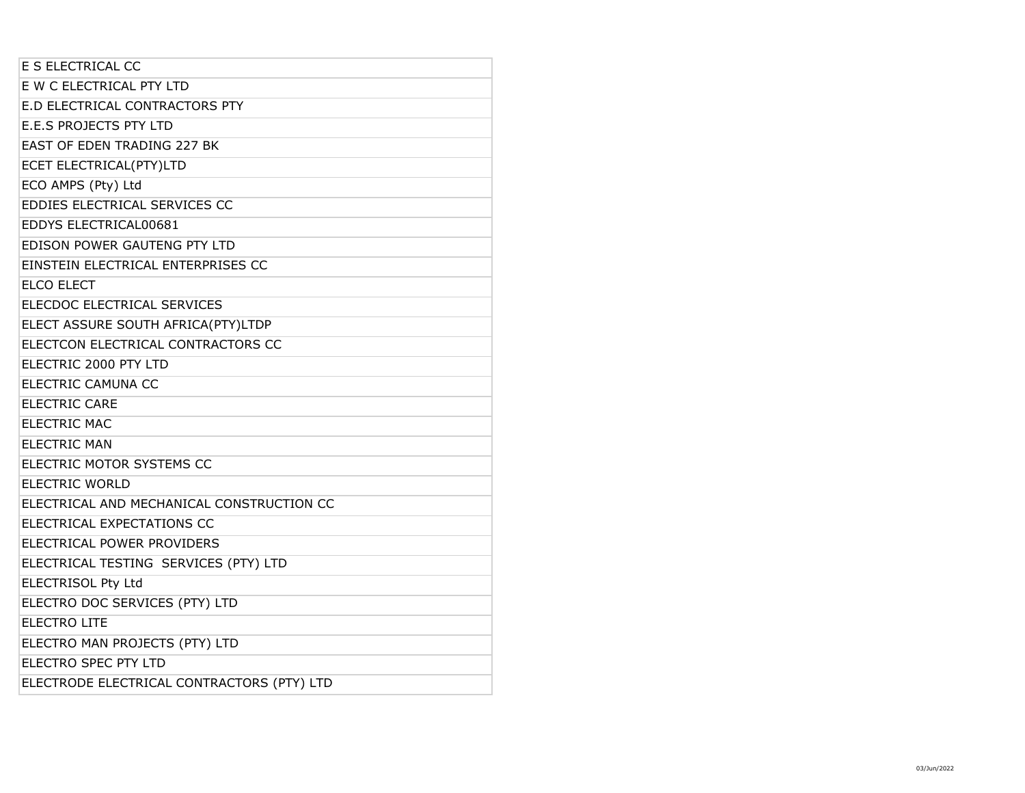| E S ELECTRICAL CC                          |  |
|--------------------------------------------|--|
| E W C ELECTRICAL PTY LTD                   |  |
| E.D ELECTRICAL CONTRACTORS PTY             |  |
| <b>E.E.S PROJECTS PTY LTD</b>              |  |
| EAST OF EDEN TRADING 227 BK                |  |
| ECET ELECTRICAL(PTY)LTD                    |  |
| ECO AMPS (Pty) Ltd                         |  |
| EDDIES ELECTRICAL SERVICES CC              |  |
| EDDYS ELECTRICAL00681                      |  |
| EDISON POWER GAUTENG PTY LTD               |  |
| EINSTEIN ELECTRICAL ENTERPRISES CC         |  |
| <b>ELCO ELECT</b>                          |  |
| ELECDOC ELECTRICAL SERVICES                |  |
| ELECT ASSURE SOUTH AFRICA(PTY)LTDP         |  |
| ELECTCON ELECTRICAL CONTRACTORS CC         |  |
| ELECTRIC 2000 PTY LTD                      |  |
| ELECTRIC CAMUNA CC                         |  |
| <b>ELECTRIC CARE</b>                       |  |
| <b>ELECTRIC MAC</b>                        |  |
| <b>ELECTRIC MAN</b>                        |  |
| ELECTRIC MOTOR SYSTEMS CC                  |  |
| <b>ELECTRIC WORLD</b>                      |  |
| ELECTRICAL AND MECHANICAL CONSTRUCTION CC  |  |
| ELECTRICAL EXPECTATIONS CC                 |  |
| ELECTRICAL POWER PROVIDERS                 |  |
| ELECTRICAL TESTING SERVICES (PTY) LTD      |  |
| <b>ELECTRISOL Pty Ltd</b>                  |  |
| ELECTRO DOC SERVICES (PTY) LTD             |  |
| <b>ELECTRO LITE</b>                        |  |
| ELECTRO MAN PROJECTS (PTY) LTD             |  |
| <b>ELECTRO SPEC PTY LTD</b>                |  |
| ELECTRODE ELECTRICAL CONTRACTORS (PTY) LTD |  |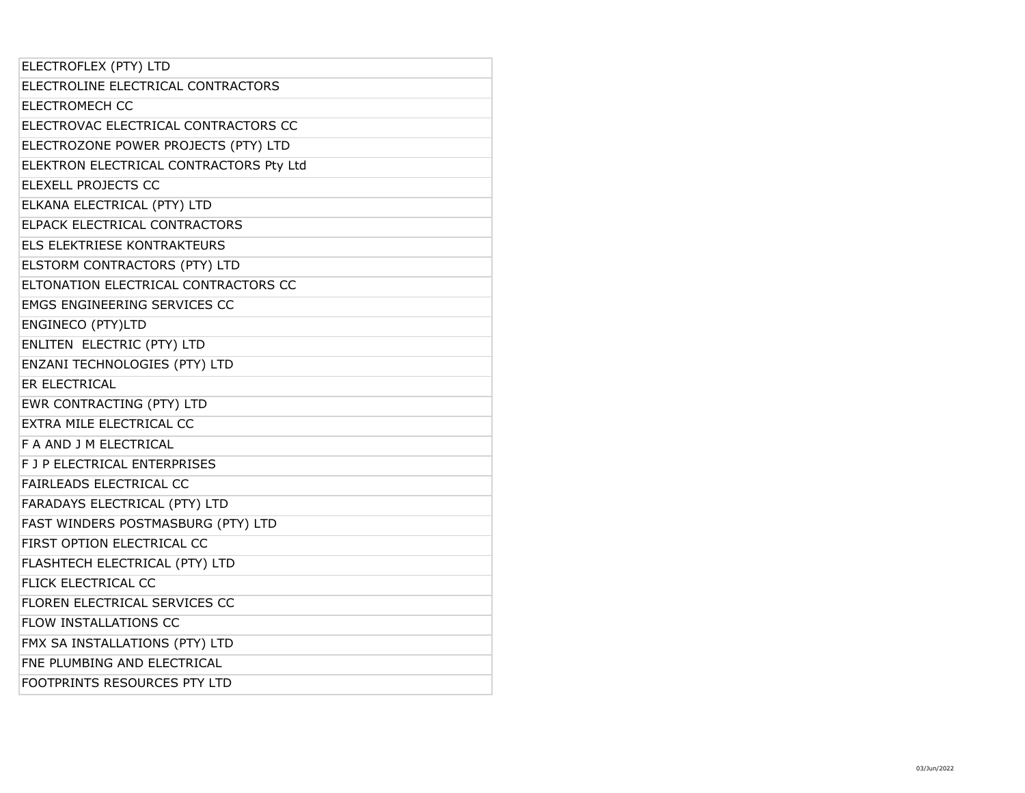| ELECTROFLEX (PTY) LTD                   |
|-----------------------------------------|
| ELECTROLINE ELECTRICAL CONTRACTORS      |
| <b>ELECTROMECH CC</b>                   |
| ELECTROVAC ELECTRICAL CONTRACTORS CC    |
| ELECTROZONE POWER PROJECTS (PTY) LTD    |
| ELEKTRON ELECTRICAL CONTRACTORS Pty Ltd |
| ELEXELL PROJECTS CC                     |
| ELKANA ELECTRICAL (PTY) LTD             |
| ELPACK ELECTRICAL CONTRACTORS           |
| ELS ELEKTRIESE KONTRAKTEURS             |
| ELSTORM CONTRACTORS (PTY) LTD           |
| ELTONATION ELECTRICAL CONTRACTORS CC    |
| <b>EMGS ENGINEERING SERVICES CC</b>     |
| ENGINECO (PTY)LTD                       |
| ENLITEN ELECTRIC (PTY) LTD              |
| ENZANI TECHNOLOGIES (PTY) LTD           |
| ER ELECTRICAL                           |
| EWR CONTRACTING (PTY) LTD               |
| EXTRA MILE ELECTRICAL CC                |
| F A AND J M ELECTRICAL                  |
| F J P ELECTRICAL ENTERPRISES            |
| FAIRLEADS ELECTRICAL CC                 |
| FARADAYS ELECTRICAL (PTY) LTD           |
| FAST WINDERS POSTMASBURG (PTY) LTD      |
| FIRST OPTION ELECTRICAL CC              |
| FLASHTECH ELECTRICAL (PTY) LTD          |
|                                         |
| FLICK ELECTRICAL CC                     |
| FLOREN ELECTRICAL SERVICES CC           |
| <b>FLOW INSTALLATIONS CC</b>            |
| FMX SA INSTALLATIONS (PTY) LTD          |
| FNE PLUMBING AND ELECTRICAL             |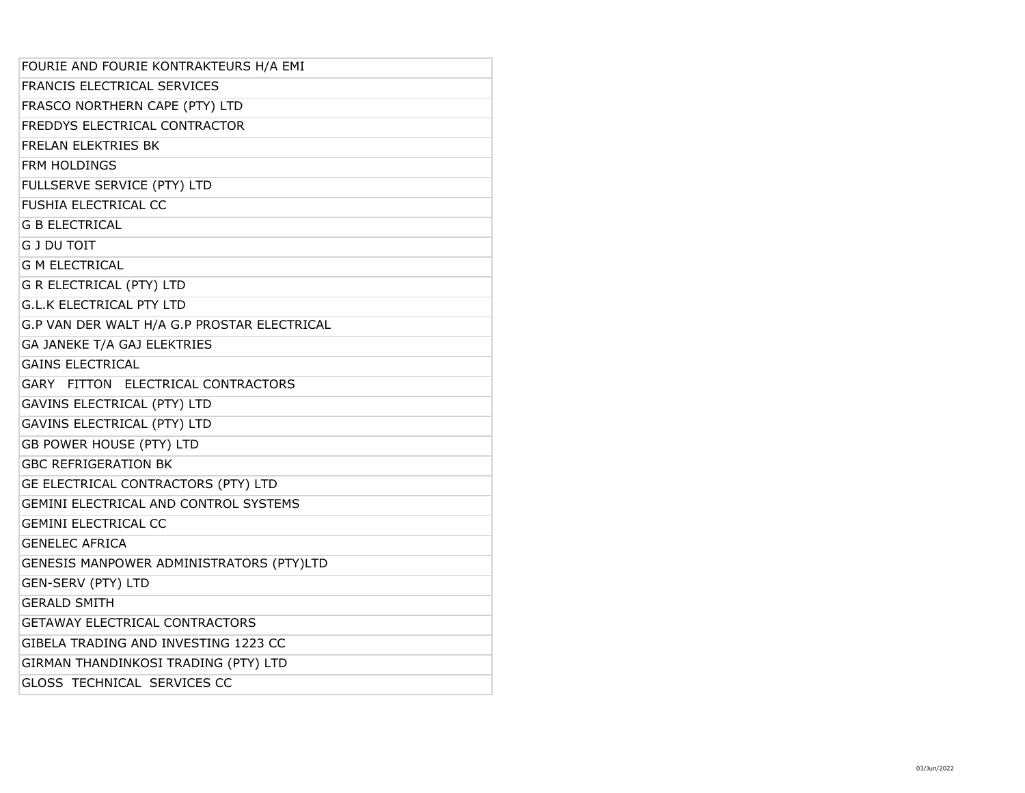| FOURIE AND FOURIE KONTRAKTEURS H/A EMI       |
|----------------------------------------------|
| FRANCIS ELECTRICAL SERVICES                  |
| FRASCO NORTHERN CAPE (PTY) LTD               |
| FREDDYS ELECTRICAL CONTRACTOR                |
| <b>FRELAN ELEKTRIES BK</b>                   |
| FRM HOLDINGS                                 |
| FULLSERVE SERVICE (PTY) LTD                  |
| FUSHIA ELECTRICAL CC                         |
| <b>G B ELECTRICAL</b>                        |
| <b>G J DU TOIT</b>                           |
| <b>G M ELECTRICAL</b>                        |
| <b>G R ELECTRICAL (PTY) LTD</b>              |
| <b>G.L.K ELECTRICAL PTY LTD</b>              |
| G.P VAN DER WALT H/A G.P PROSTAR ELECTRICAL  |
| GA JANEKE T/A GAJ ELEKTRIES                  |
| <b>GAINS ELECTRICAL</b>                      |
| GARY FITTON ELECTRICAL CONTRACTORS           |
| <b>GAVINS ELECTRICAL (PTY) LTD</b>           |
| <b>GAVINS ELECTRICAL (PTY) LTD</b>           |
| GB POWER HOUSE (PTY) LTD                     |
| <b>GBC REFRIGERATION BK</b>                  |
| GE ELECTRICAL CONTRACTORS (PTY) LTD          |
| <b>GEMINI ELECTRICAL AND CONTROL SYSTEMS</b> |
| <b>GEMINI ELECTRICAL CC</b>                  |
| <b>GENELEC AFRICA</b>                        |
| GENESIS MANPOWER ADMINISTRATORS (PTY)LTD     |
| <b>GEN-SERV (PTY) LTD</b>                    |
| <b>GERALD SMITH</b>                          |
| <b>GETAWAY ELECTRICAL CONTRACTORS</b>        |
| GIBELA TRADING AND INVESTING 1223 CC         |
| GIRMAN THANDINKOSI TRADING (PTY) LTD         |
| <b>GLOSS TECHNICAL SERVICES CC</b>           |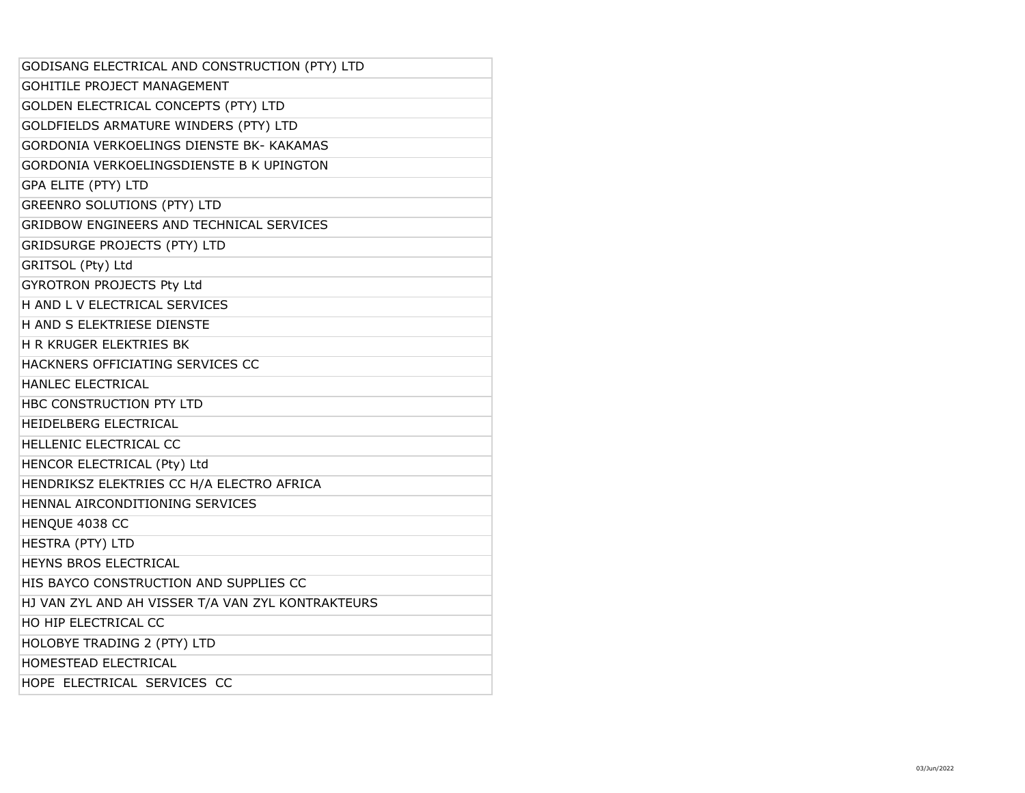| GODISANG ELECTRICAL AND CONSTRUCTION (PTY) LTD    |
|---------------------------------------------------|
| GOHITILE PROJECT MANAGEMENT                       |
| GOLDEN ELECTRICAL CONCEPTS (PTY) LTD              |
| GOLDFIELDS ARMATURE WINDERS (PTY) LTD             |
| GORDONIA VERKOELINGS DIENSTE BK- KAKAMAS          |
| GORDONIA VERKOELINGSDIENSTE B K UPINGTON          |
| <b>GPA ELITE (PTY) LTD</b>                        |
| <b>GREENRO SOLUTIONS (PTY) LTD</b>                |
| GRIDBOW ENGINEERS AND TECHNICAL SERVICES          |
| <b>GRIDSURGE PROJECTS (PTY) LTD</b>               |
| GRITSOL (Pty) Ltd                                 |
| GYROTRON PROJECTS Pty Ltd                         |
| H AND L V ELECTRICAL SERVICES                     |
| H AND S ELEKTRIESE DIENSTE                        |
| <b>H R KRUGER ELEKTRIES BK</b>                    |
| HACKNERS OFFICIATING SERVICES CC                  |
| HANLEC ELECTRICAL                                 |
| HBC CONSTRUCTION PTY LTD                          |
| HEIDELBERG ELECTRICAL                             |
| HELLENIC ELECTRICAL CC                            |
| HENCOR ELECTRICAL (Pty) Ltd                       |
| HENDRIKSZ ELEKTRIES CC H/A ELECTRO AFRICA         |
| HENNAL AIRCONDITIONING SERVICES                   |
| HENQUE 4038 CC                                    |
| <b>HESTRA (PTY) LTD</b>                           |
| HEYNS BROS ELECTRICAL                             |
| HIS BAYCO CONSTRUCTION AND SUPPLIES CC            |
| HJ VAN ZYL AND AH VISSER T/A VAN ZYL KONTRAKTEURS |
| HO HIP ELECTRICAL CC                              |
| HOLOBYE TRADING 2 (PTY) LTD                       |
| HOMESTEAD ELECTRICAL                              |
| HOPE ELECTRICAL SERVICES CC                       |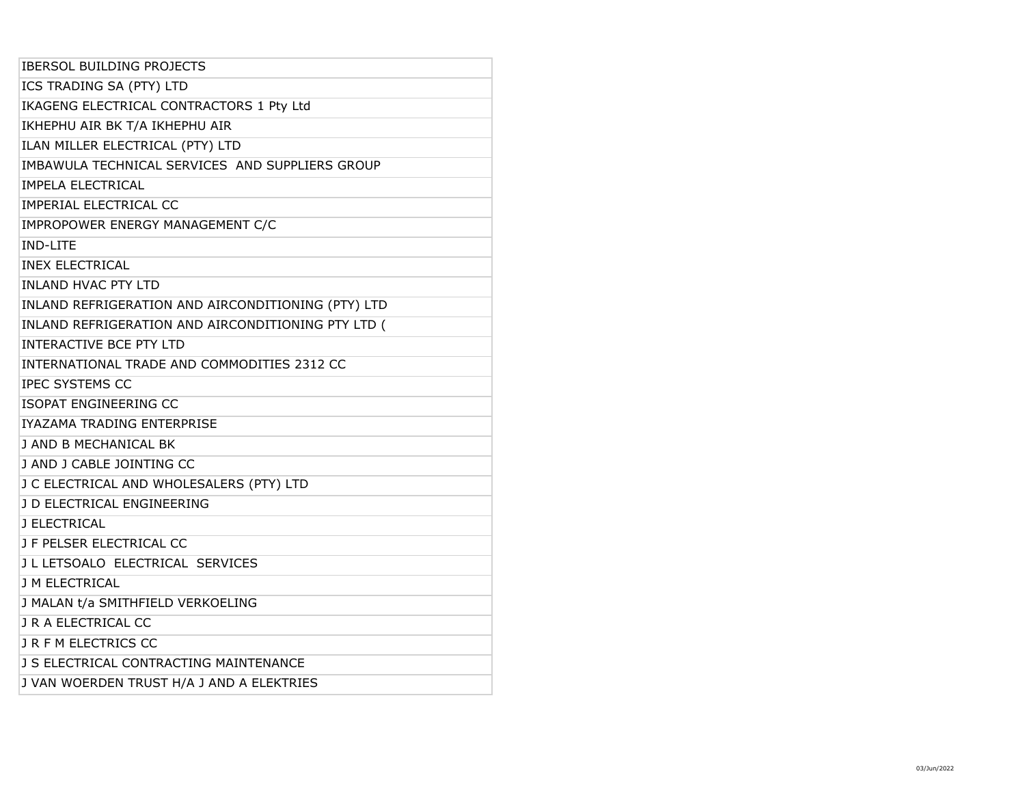| <b>IBERSOL BUILDING PROJECTS</b>                   |
|----------------------------------------------------|
| ICS TRADING SA (PTY) LTD                           |
| IKAGENG ELECTRICAL CONTRACTORS 1 Pty Ltd           |
| IKHEPHU AIR BK T/A IKHEPHU AIR                     |
| ILAN MILLER ELECTRICAL (PTY) LTD                   |
| IMBAWULA TECHNICAL SERVICES AND SUPPLIERS GROUP    |
| <b>IMPELA ELECTRICAL</b>                           |
| IMPERIAL ELECTRICAL CC                             |
| IMPROPOWER ENERGY MANAGEMENT C/C                   |
| <b>IND-LITE</b>                                    |
| <b>INEX ELECTRICAL</b>                             |
| <b>INLAND HVAC PTY LTD</b>                         |
| INLAND REFRIGERATION AND AIRCONDITIONING (PTY) LTD |
| INLAND REFRIGERATION AND AIRCONDITIONING PTY LTD ( |
| <b>INTERACTIVE BCE PTY LTD</b>                     |
| INTERNATIONAL TRADE AND COMMODITIES 2312 CC        |
| <b>IPEC SYSTEMS CC</b>                             |
| ISOPAT ENGINEERING CC                              |
| IYAZAMA TRADING ENTERPRISE                         |
| J AND B MECHANICAL BK                              |
| J AND J CABLE JOINTING CC                          |
| J C ELECTRICAL AND WHOLESALERS (PTY) LTD           |
| J D ELECTRICAL ENGINEERING                         |
| J ELECTRICAL                                       |
| J F PELSER ELECTRICAL CC                           |
| J L LETSOALO ELECTRICAL SERVICES                   |
| <b>J M ELECTRICAL</b>                              |
| J MALAN t/a SMITHFIELD VERKOELING                  |
| J R A ELECTRICAL CC                                |
| JRFMELECTRICS CC                                   |
| J S ELECTRICAL CONTRACTING MAINTENANCE             |
| J VAN WOERDEN TRUST H/A J AND A ELEKTRIES          |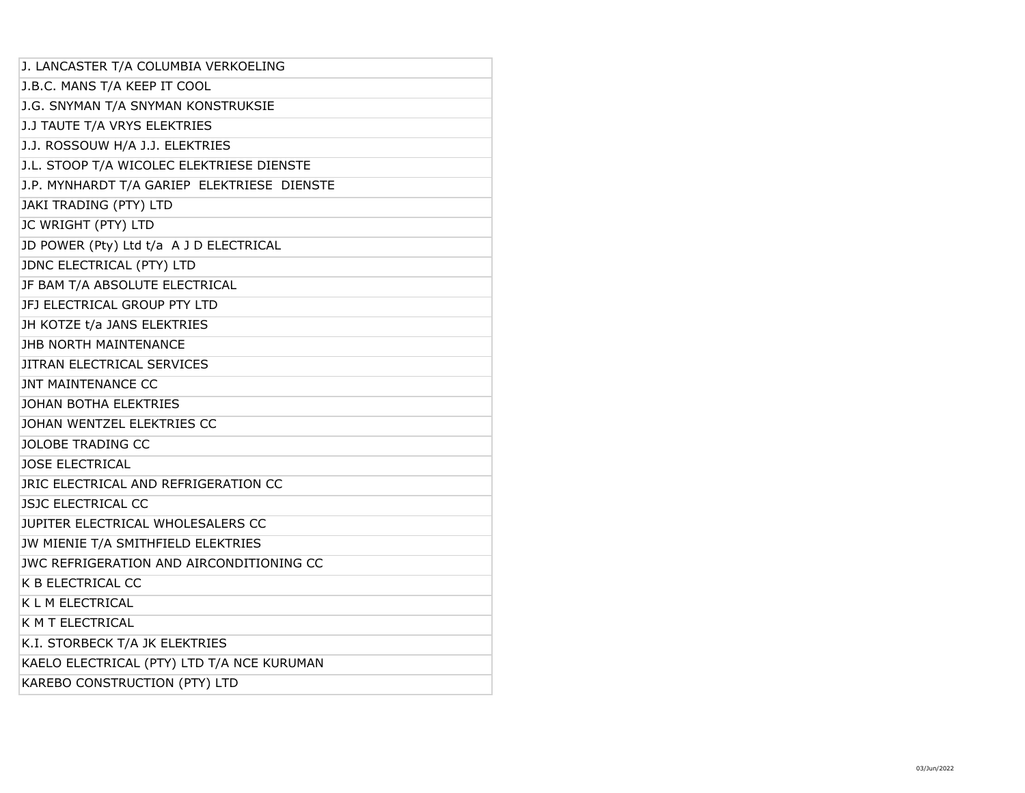| J. LANCASTER T/A COLUMBIA VERKOELING        |
|---------------------------------------------|
| J.B.C. MANS T/A KEEP IT COOL                |
| J.G. SNYMAN T/A SNYMAN KONSTRUKSIE          |
| J.J TAUTE T/A VRYS ELEKTRIES                |
| J.J. ROSSOUW H/A J.J. ELEKTRIES             |
| J.L. STOOP T/A WICOLEC ELEKTRIESE DIENSTE   |
| J.P. MYNHARDT T/A GARIEP ELEKTRIESE DIENSTE |
| JAKI TRADING (PTY) LTD                      |
| JC WRIGHT (PTY) LTD                         |
| JD POWER (Pty) Ltd t/a A J D ELECTRICAL     |
| JDNC ELECTRICAL (PTY) LTD                   |
| JF BAM T/A ABSOLUTE ELECTRICAL              |
| JFJ ELECTRICAL GROUP PTY LTD                |
| JH KOTZE t/a JANS ELEKTRIES                 |
| <b>JHB NORTH MAINTENANCE</b>                |
| JITRAN ELECTRICAL SERVICES                  |
| <b>JNT MAINTENANCE CC</b>                   |
| JOHAN BOTHA ELEKTRIES                       |
| JOHAN WENTZEL ELEKTRIES CC                  |
| <b>JOLOBE TRADING CC</b>                    |
| <b>JOSE ELECTRICAL</b>                      |
| JRIC ELECTRICAL AND REFRIGERATION CC        |
| <b>JSJC ELECTRICAL CC</b>                   |
| JUPITER ELECTRICAL WHOLESALERS CC           |
| JW MIENIE T/A SMITHFIELD ELEKTRIES          |
| JWC REFRIGERATION AND AIRCONDITIONING CC    |
| K B ELECTRICAL CC                           |
| K L M ELECTRICAL                            |
| K M T ELECTRICAL                            |
| K.I. STORBECK T/A JK ELEKTRIES              |
| KAELO ELECTRICAL (PTY) LTD T/A NCE KURUMAN  |
| KAREBO CONSTRUCTION (PTY) LTD               |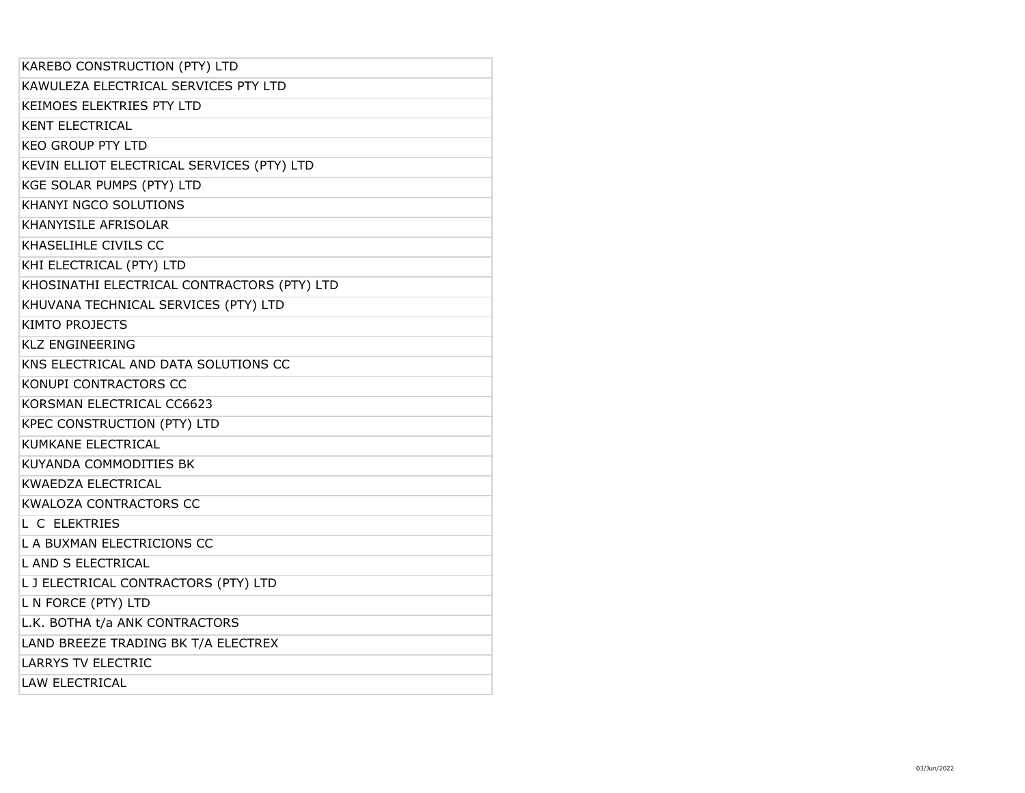| KAREBO CONSTRUCTION (PTY) LTD               |
|---------------------------------------------|
| KAWULEZA ELECTRICAL SERVICES PTY LTD        |
| <b>KEIMOES ELEKTRIES PTY LTD</b>            |
| <b>KENT ELECTRICAL</b>                      |
| <b>KEO GROUP PTY LTD</b>                    |
| KEVIN ELLIOT ELECTRICAL SERVICES (PTY) LTD  |
| KGE SOLAR PUMPS (PTY) LTD                   |
| <b>KHANYI NGCO SOLUTIONS</b>                |
| KHANYISILE AFRISOLAR                        |
| KHASELIHLE CIVILS CC                        |
| KHI ELECTRICAL (PTY) LTD                    |
| KHOSINATHI ELECTRICAL CONTRACTORS (PTY) LTD |
| KHUVANA TECHNICAL SERVICES (PTY) LTD        |
| <b>KIMTO PROJECTS</b>                       |
| <b>KLZ ENGINEERING</b>                      |
| KNS ELECTRICAL AND DATA SOLUTIONS CC        |
| KONUPI CONTRACTORS CC                       |
| KORSMAN ELECTRICAL CC6623                   |
| KPEC CONSTRUCTION (PTY) LTD                 |
| KUMKANE ELECTRICAL                          |
| <b>KUYANDA COMMODITIES BK</b>               |
| <b>KWAEDZA ELECTRICAL</b>                   |
| <b>KWALOZA CONTRACTORS CC</b>               |
| L C ELEKTRIES                               |
| L A BUXMAN ELECTRICIONS CC                  |
| L AND S ELECTRICAL                          |
| L J ELECTRICAL CONTRACTORS (PTY) LTD        |
| L N FORCE (PTY) LTD                         |
| L.K. BOTHA t/a ANK CONTRACTORS              |
| LAND BREEZE TRADING BK T/A ELECTREX         |
| <b>LARRYS TV ELECTRIC</b>                   |
| <b>LAW ELECTRICAL</b>                       |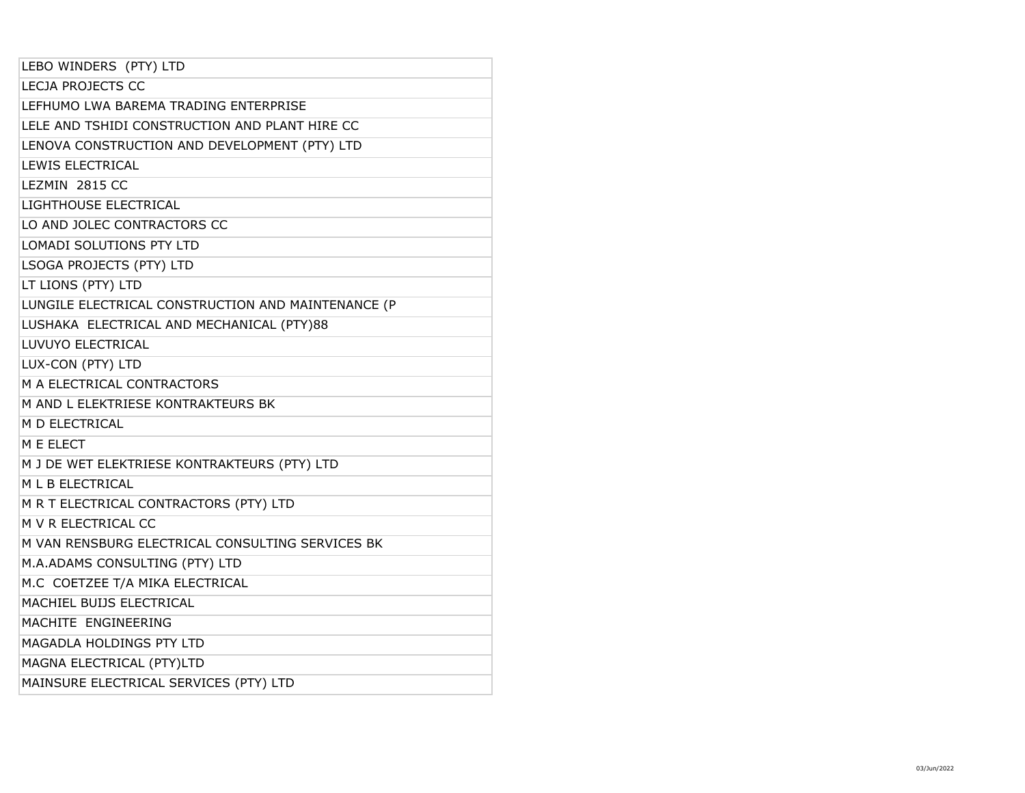| LEBO WINDERS (PTY) LTD                             |
|----------------------------------------------------|
| <b>LECJA PROJECTS CC</b>                           |
| LEFHUMO LWA BAREMA TRADING ENTERPRISE              |
| LELE AND TSHIDI CONSTRUCTION AND PLANT HIRE CC     |
| LENOVA CONSTRUCTION AND DEVELOPMENT (PTY) LTD      |
| <b>LEWIS ELECTRICAL</b>                            |
| LEZMIN 2815 CC                                     |
| LIGHTHOUSE ELECTRICAL                              |
| LO AND JOLEC CONTRACTORS CC                        |
| <b>LOMADI SOLUTIONS PTY LTD</b>                    |
| LSOGA PROJECTS (PTY) LTD                           |
| LT LIONS (PTY) LTD                                 |
| LUNGILE ELECTRICAL CONSTRUCTION AND MAINTENANCE (P |
| LUSHAKA ELECTRICAL AND MECHANICAL (PTY)88          |
| LUVUYO ELECTRICAL                                  |
| LUX-CON (PTY) LTD                                  |
| M A ELECTRICAL CONTRACTORS                         |
| M AND L ELEKTRIESE KONTRAKTEURS BK                 |
| <b>M D ELECTRICAL</b>                              |
| M E ELECT                                          |
| M J DE WET ELEKTRIESE KONTRAKTEURS (PTY) LTD       |
| M L B ELECTRICAL                                   |
| M R T ELECTRICAL CONTRACTORS (PTY) LTD             |
| M V R ELECTRICAL CC                                |
| M VAN RENSBURG ELECTRICAL CONSULTING SERVICES BK   |
| M.A.ADAMS CONSULTING (PTY) LTD                     |
| M.C COETZEE T/A MIKA ELECTRICAL                    |
| MACHIEL BUIJS ELECTRICAL                           |
| MACHITE ENGINEERING                                |
| MAGADLA HOLDINGS PTY LTD                           |
| MAGNA ELECTRICAL (PTY)LTD                          |
| MAINSURE ELECTRICAL SERVICES (PTY) LTD             |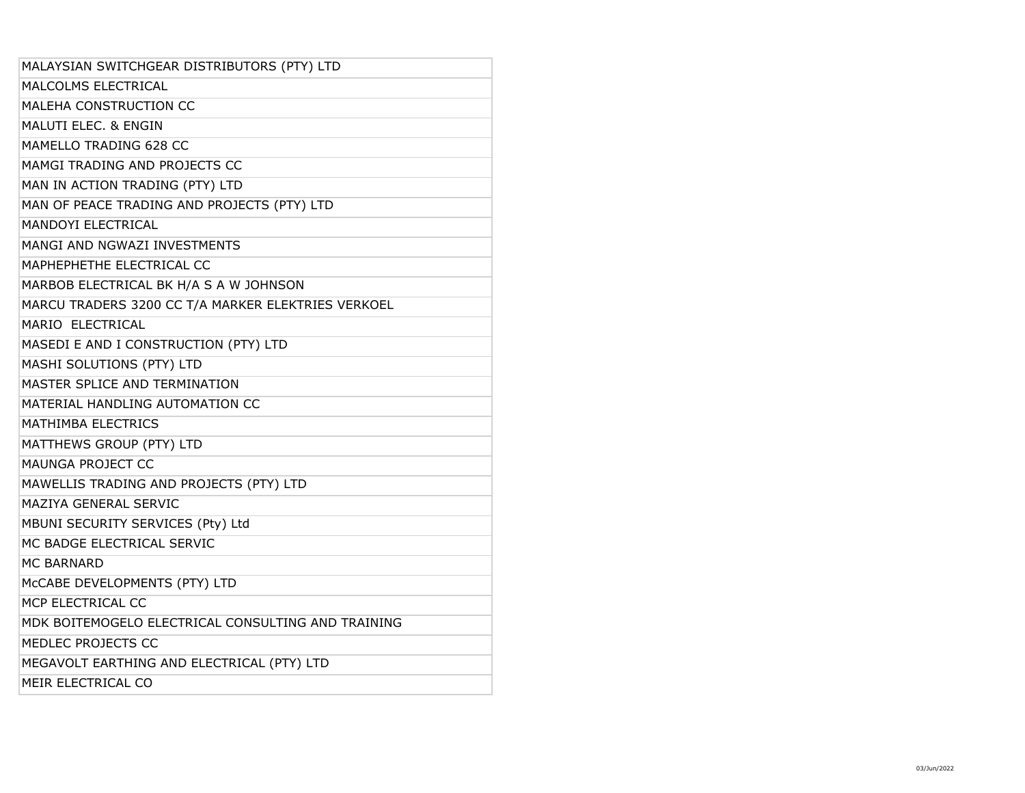| MALAYSIAN SWITCHGEAR DISTRIBUTORS (PTY) LTD        |
|----------------------------------------------------|
| MALCOLMS ELECTRICAL                                |
| MALEHA CONSTRUCTION CC                             |
| <b>MALUTI ELEC. &amp; ENGIN</b>                    |
| MAMELLO TRADING 628 CC                             |
| MAMGI TRADING AND PROJECTS CC                      |
| MAN IN ACTION TRADING (PTY) LTD                    |
| MAN OF PEACE TRADING AND PROJECTS (PTY) LTD        |
| <b>MANDOYI ELECTRICAL</b>                          |
| MANGI AND NGWAZI INVESTMENTS                       |
| MAPHEPHETHE ELECTRICAL CC                          |
| MARBOB ELECTRICAL BK H/A S A W JOHNSON             |
| MARCU TRADERS 3200 CC T/A MARKER ELEKTRIES VERKOEL |
| MARIO ELECTRICAL                                   |
| MASEDI E AND I CONSTRUCTION (PTY) LTD              |
| MASHI SOLUTIONS (PTY) LTD                          |
| MASTER SPLICE AND TERMINATION                      |
| MATERIAL HANDLING AUTOMATION CC                    |
| MATHIMBA ELECTRICS                                 |
| MATTHEWS GROUP (PTY) LTD                           |
| <b>MAUNGA PROJECT CC</b>                           |
| MAWELLIS TRADING AND PROJECTS (PTY) LTD            |
| MAZIYA GENERAL SERVIC                              |
| MBUNI SECURITY SERVICES (Pty) Ltd                  |
| MC BADGE ELECTRICAL SERVIC                         |
| <b>MC BARNARD</b>                                  |
| McCABE DEVELOPMENTS (PTY) LTD                      |
| MCP ELECTRICAL CC                                  |
| MDK BOITEMOGELO ELECTRICAL CONSULTING AND TRAINING |
| MEDLEC PROJECTS CC                                 |
| MEGAVOLT EARTHING AND ELECTRICAL (PTY) LTD         |
| MEIR ELECTRICAL CO                                 |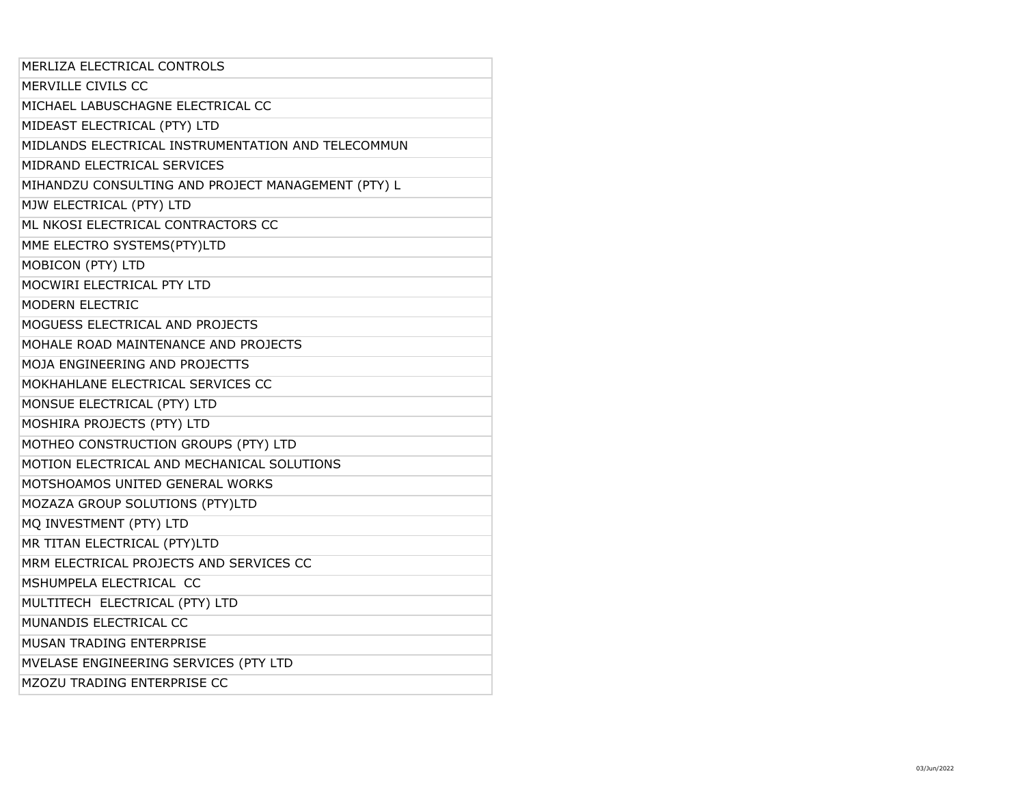| MERLIZA ELECTRICAL CONTROLS<br>MERVILLE CIVILS CC<br>MICHAEL LABUSCHAGNE ELECTRICAL CC<br>MIDEAST ELECTRICAL (PTY) LTD<br>MIDLANDS ELECTRICAL INSTRUMENTATION AND TELECOMMUN<br>MIDRAND ELECTRICAL SERVICES<br>MIHANDZU CONSULTING AND PROJECT MANAGEMENT (PTY) L<br>MJW ELECTRICAL (PTY) LTD<br>ML NKOSI ELECTRICAL CONTRACTORS CC<br>MME ELECTRO SYSTEMS(PTY)LTD<br><b>MOBICON (PTY) LTD</b><br>MOCWIRI ELECTRICAL PTY LTD<br><b>MODERN ELECTRIC</b><br>MOGUESS ELECTRICAL AND PROJECTS<br>MOHALE ROAD MAINTENANCE AND PROJECTS<br>MOJA ENGINEERING AND PROJECTTS<br>MOKHAHLANE ELECTRICAL SERVICES CC<br>MONSUE ELECTRICAL (PTY) LTD<br>MOSHIRA PROJECTS (PTY) LTD<br>MOTHEO CONSTRUCTION GROUPS (PTY) LTD<br>MOTION ELECTRICAL AND MECHANICAL SOLUTIONS<br>MOTSHOAMOS UNITED GENERAL WORKS<br>MOZAZA GROUP SOLUTIONS (PTY)LTD<br>MQ INVESTMENT (PTY) LTD<br>MR TITAN ELECTRICAL (PTY)LTD<br>MRM ELECTRICAL PROJECTS AND SERVICES CC<br>MSHUMPELA ELECTRICAL CC<br>MULTITECH ELECTRICAL (PTY) LTD<br>MUNANDIS ELECTRICAL CC<br><b>MUSAN TRADING ENTERPRISE</b><br>MVELASE ENGINEERING SERVICES (PTY LTD<br>MZOZU TRADING ENTERPRISE CC |  |
|-------------------------------------------------------------------------------------------------------------------------------------------------------------------------------------------------------------------------------------------------------------------------------------------------------------------------------------------------------------------------------------------------------------------------------------------------------------------------------------------------------------------------------------------------------------------------------------------------------------------------------------------------------------------------------------------------------------------------------------------------------------------------------------------------------------------------------------------------------------------------------------------------------------------------------------------------------------------------------------------------------------------------------------------------------------------------------------------------------------------------------------------|--|
|                                                                                                                                                                                                                                                                                                                                                                                                                                                                                                                                                                                                                                                                                                                                                                                                                                                                                                                                                                                                                                                                                                                                           |  |
|                                                                                                                                                                                                                                                                                                                                                                                                                                                                                                                                                                                                                                                                                                                                                                                                                                                                                                                                                                                                                                                                                                                                           |  |
|                                                                                                                                                                                                                                                                                                                                                                                                                                                                                                                                                                                                                                                                                                                                                                                                                                                                                                                                                                                                                                                                                                                                           |  |
|                                                                                                                                                                                                                                                                                                                                                                                                                                                                                                                                                                                                                                                                                                                                                                                                                                                                                                                                                                                                                                                                                                                                           |  |
|                                                                                                                                                                                                                                                                                                                                                                                                                                                                                                                                                                                                                                                                                                                                                                                                                                                                                                                                                                                                                                                                                                                                           |  |
|                                                                                                                                                                                                                                                                                                                                                                                                                                                                                                                                                                                                                                                                                                                                                                                                                                                                                                                                                                                                                                                                                                                                           |  |
|                                                                                                                                                                                                                                                                                                                                                                                                                                                                                                                                                                                                                                                                                                                                                                                                                                                                                                                                                                                                                                                                                                                                           |  |
|                                                                                                                                                                                                                                                                                                                                                                                                                                                                                                                                                                                                                                                                                                                                                                                                                                                                                                                                                                                                                                                                                                                                           |  |
|                                                                                                                                                                                                                                                                                                                                                                                                                                                                                                                                                                                                                                                                                                                                                                                                                                                                                                                                                                                                                                                                                                                                           |  |
|                                                                                                                                                                                                                                                                                                                                                                                                                                                                                                                                                                                                                                                                                                                                                                                                                                                                                                                                                                                                                                                                                                                                           |  |
|                                                                                                                                                                                                                                                                                                                                                                                                                                                                                                                                                                                                                                                                                                                                                                                                                                                                                                                                                                                                                                                                                                                                           |  |
|                                                                                                                                                                                                                                                                                                                                                                                                                                                                                                                                                                                                                                                                                                                                                                                                                                                                                                                                                                                                                                                                                                                                           |  |
|                                                                                                                                                                                                                                                                                                                                                                                                                                                                                                                                                                                                                                                                                                                                                                                                                                                                                                                                                                                                                                                                                                                                           |  |
|                                                                                                                                                                                                                                                                                                                                                                                                                                                                                                                                                                                                                                                                                                                                                                                                                                                                                                                                                                                                                                                                                                                                           |  |
|                                                                                                                                                                                                                                                                                                                                                                                                                                                                                                                                                                                                                                                                                                                                                                                                                                                                                                                                                                                                                                                                                                                                           |  |
|                                                                                                                                                                                                                                                                                                                                                                                                                                                                                                                                                                                                                                                                                                                                                                                                                                                                                                                                                                                                                                                                                                                                           |  |
|                                                                                                                                                                                                                                                                                                                                                                                                                                                                                                                                                                                                                                                                                                                                                                                                                                                                                                                                                                                                                                                                                                                                           |  |
|                                                                                                                                                                                                                                                                                                                                                                                                                                                                                                                                                                                                                                                                                                                                                                                                                                                                                                                                                                                                                                                                                                                                           |  |
|                                                                                                                                                                                                                                                                                                                                                                                                                                                                                                                                                                                                                                                                                                                                                                                                                                                                                                                                                                                                                                                                                                                                           |  |
|                                                                                                                                                                                                                                                                                                                                                                                                                                                                                                                                                                                                                                                                                                                                                                                                                                                                                                                                                                                                                                                                                                                                           |  |
|                                                                                                                                                                                                                                                                                                                                                                                                                                                                                                                                                                                                                                                                                                                                                                                                                                                                                                                                                                                                                                                                                                                                           |  |
|                                                                                                                                                                                                                                                                                                                                                                                                                                                                                                                                                                                                                                                                                                                                                                                                                                                                                                                                                                                                                                                                                                                                           |  |
|                                                                                                                                                                                                                                                                                                                                                                                                                                                                                                                                                                                                                                                                                                                                                                                                                                                                                                                                                                                                                                                                                                                                           |  |
|                                                                                                                                                                                                                                                                                                                                                                                                                                                                                                                                                                                                                                                                                                                                                                                                                                                                                                                                                                                                                                                                                                                                           |  |
|                                                                                                                                                                                                                                                                                                                                                                                                                                                                                                                                                                                                                                                                                                                                                                                                                                                                                                                                                                                                                                                                                                                                           |  |
|                                                                                                                                                                                                                                                                                                                                                                                                                                                                                                                                                                                                                                                                                                                                                                                                                                                                                                                                                                                                                                                                                                                                           |  |
|                                                                                                                                                                                                                                                                                                                                                                                                                                                                                                                                                                                                                                                                                                                                                                                                                                                                                                                                                                                                                                                                                                                                           |  |
|                                                                                                                                                                                                                                                                                                                                                                                                                                                                                                                                                                                                                                                                                                                                                                                                                                                                                                                                                                                                                                                                                                                                           |  |
|                                                                                                                                                                                                                                                                                                                                                                                                                                                                                                                                                                                                                                                                                                                                                                                                                                                                                                                                                                                                                                                                                                                                           |  |
|                                                                                                                                                                                                                                                                                                                                                                                                                                                                                                                                                                                                                                                                                                                                                                                                                                                                                                                                                                                                                                                                                                                                           |  |
|                                                                                                                                                                                                                                                                                                                                                                                                                                                                                                                                                                                                                                                                                                                                                                                                                                                                                                                                                                                                                                                                                                                                           |  |
|                                                                                                                                                                                                                                                                                                                                                                                                                                                                                                                                                                                                                                                                                                                                                                                                                                                                                                                                                                                                                                                                                                                                           |  |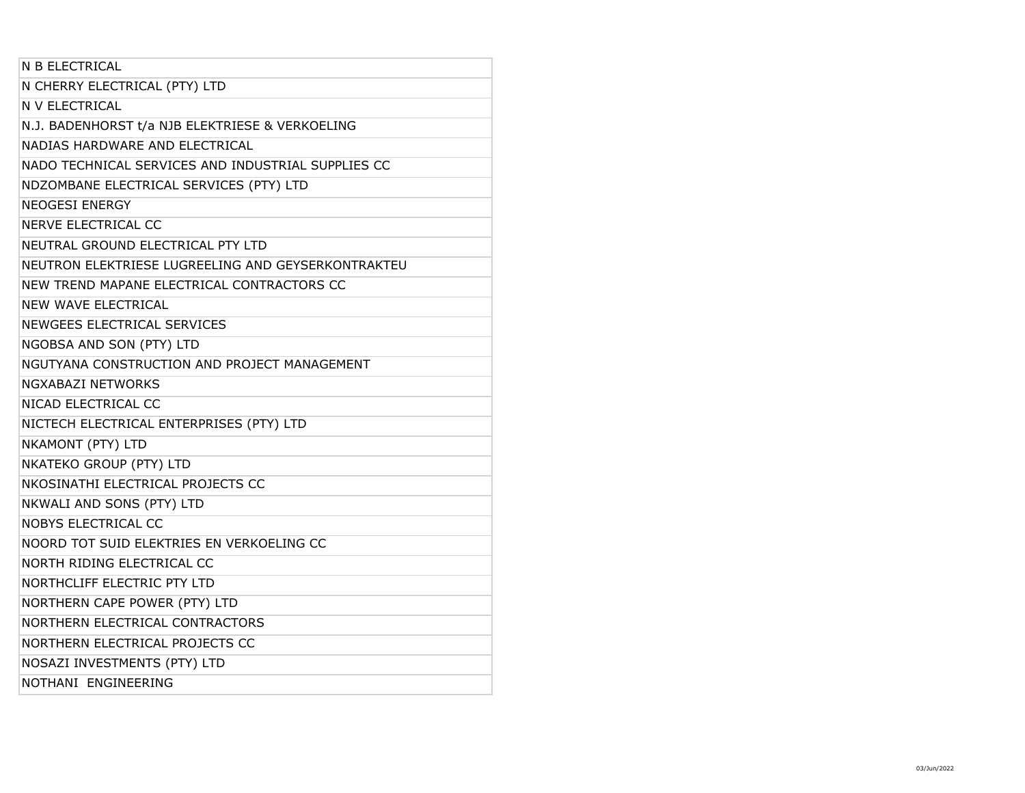| N B ELECTRICAL                                     |
|----------------------------------------------------|
| N CHERRY ELECTRICAL (PTY) LTD                      |
| N V ELECTRICAL                                     |
| N.J. BADENHORST t/a NJB ELEKTRIESE & VERKOELING    |
| NADIAS HARDWARE AND ELECTRICAL                     |
| NADO TECHNICAL SERVICES AND INDUSTRIAL SUPPLIES CC |
| NDZOMBANE ELECTRICAL SERVICES (PTY) LTD            |
| <b>NEOGESI ENERGY</b>                              |
| NERVE ELECTRICAL CC                                |
| NEUTRAL GROUND ELECTRICAL PTY LTD                  |
| NEUTRON ELEKTRIESE LUGREELING AND GEYSERKONTRAKTEU |
| NEW TREND MAPANE ELECTRICAL CONTRACTORS CC         |
| <b>NEW WAVE ELECTRICAL</b>                         |
| NEWGEES ELECTRICAL SERVICES                        |
| NGOBSA AND SON (PTY) LTD                           |
| NGUTYANA CONSTRUCTION AND PROJECT MANAGEMENT       |
| NGXABAZI NETWORKS                                  |
| NICAD ELECTRICAL CC                                |
| NICTECH ELECTRICAL ENTERPRISES (PTY) LTD           |
| NKAMONT (PTY) LTD                                  |
| NKATEKO GROUP (PTY) LTD                            |
| NKOSINATHI ELECTRICAL PROJECTS CC                  |
| NKWALI AND SONS (PTY) LTD                          |
| <b>NOBYS ELECTRICAL CC</b>                         |
| NOORD TOT SUID ELEKTRIES EN VERKOELING CC          |
| NORTH RIDING ELECTRICAL CC                         |
| NORTHCLIFF ELECTRIC PTY LTD                        |
| NORTHERN CAPE POWER (PTY) LTD                      |
| NORTHERN ELECTRICAL CONTRACTORS                    |
| NORTHERN ELECTRICAL PROJECTS CC                    |
| NOSAZI INVESTMENTS (PTY) LTD                       |
| NOTHANI ENGINEERING                                |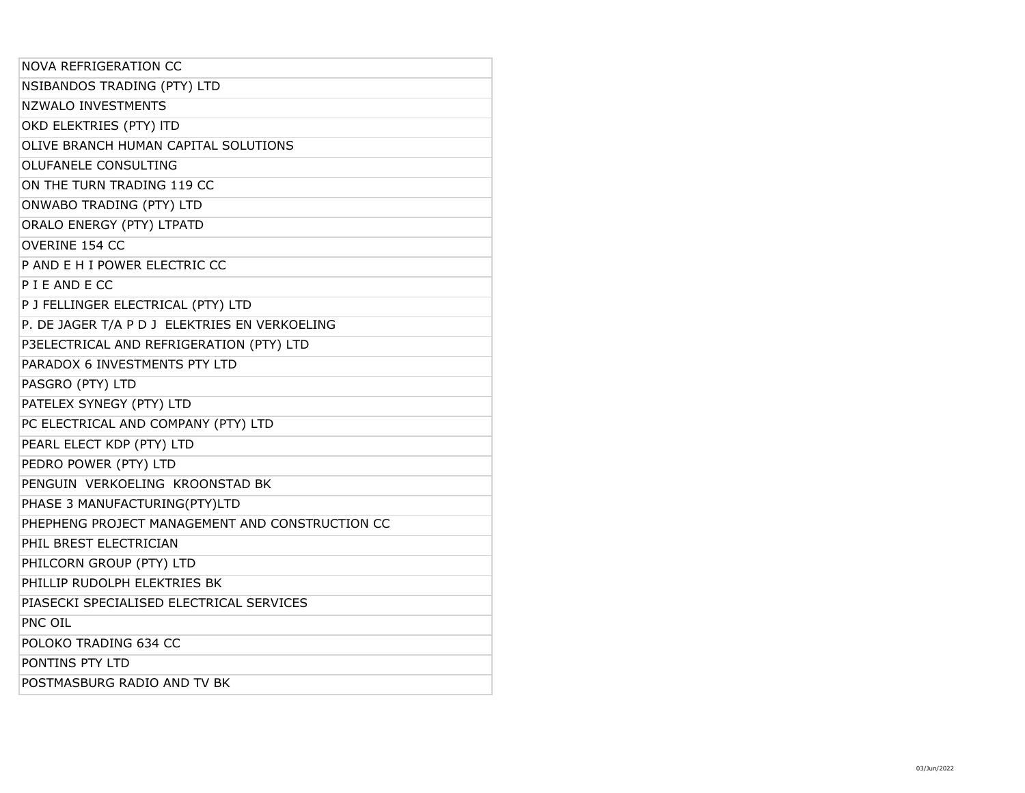| <b>NOVA REFRIGERATION CC</b>                    |
|-------------------------------------------------|
| NSIBANDOS TRADING (PTY) LTD                     |
| <b>NZWALO INVESTMENTS</b>                       |
| OKD ELEKTRIES (PTY) ITD                         |
| OLIVE BRANCH HUMAN CAPITAL SOLUTIONS            |
| <b>OLUFANELE CONSULTING</b>                     |
| ON THE TURN TRADING 119 CC                      |
| ONWABO TRADING (PTY) LTD                        |
| ORALO ENERGY (PTY) LTPATD                       |
| OVERINE 154 CC                                  |
| P AND E H I POWER ELECTRIC CC                   |
| P I E AND E CC                                  |
| P J FELLINGER ELECTRICAL (PTY) LTD              |
| P. DE JAGER T/A P D J ELEKTRIES EN VERKOELING   |
| P3ELECTRICAL AND REFRIGERATION (PTY) LTD        |
| PARADOX 6 INVESTMENTS PTY LTD                   |
| PASGRO (PTY) LTD                                |
| PATELEX SYNEGY (PTY) LTD                        |
| PC ELECTRICAL AND COMPANY (PTY) LTD             |
| PEARL ELECT KDP (PTY) LTD                       |
| PEDRO POWER (PTY) LTD                           |
| PENGUIN VERKOELING KROONSTAD BK                 |
| PHASE 3 MANUFACTURING(PTY)LTD                   |
| PHEPHENG PROJECT MANAGEMENT AND CONSTRUCTION CC |
| PHIL BREST ELECTRICIAN                          |
| PHILCORN GROUP (PTY) LTD                        |
| PHILLIP RUDOLPH ELEKTRIES BK                    |
| PIASECKI SPECIALISED ELECTRICAL SERVICES        |
| PNC OIL                                         |
| POLOKO TRADING 634 CC                           |
| PONTINS PTY LTD                                 |
| POSTMASBURG RADIO AND TV BK                     |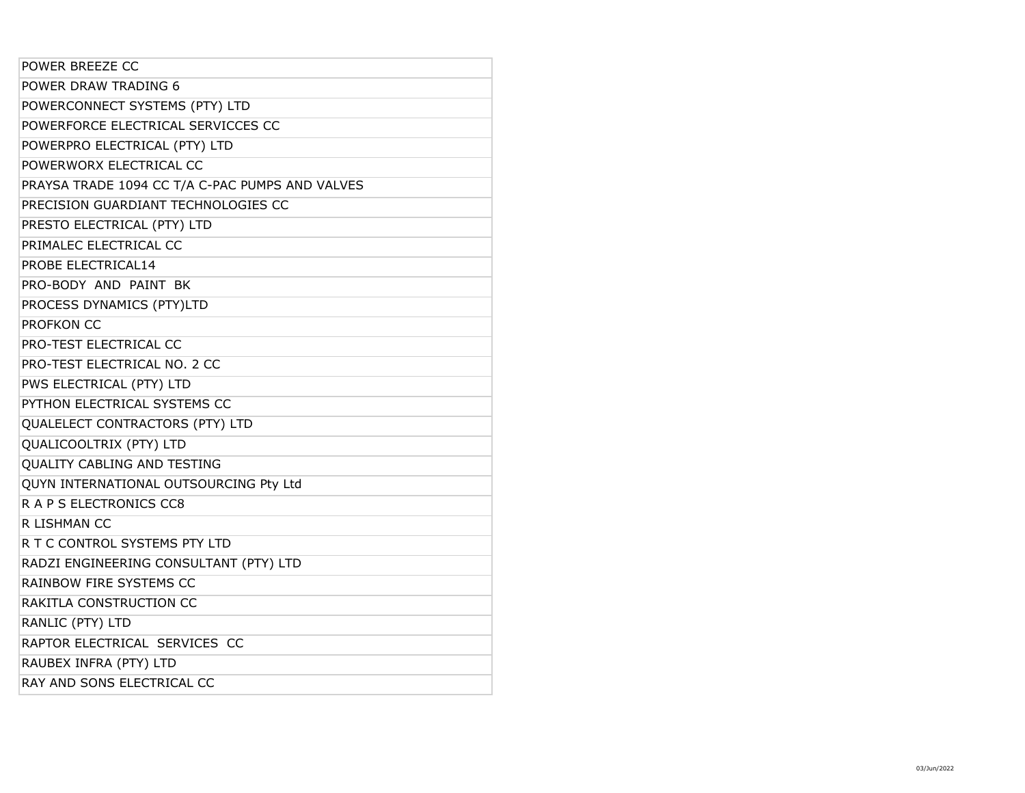| POWER BREEZE CC                                 |
|-------------------------------------------------|
| POWER DRAW TRADING 6                            |
| POWERCONNECT SYSTEMS (PTY) LTD                  |
| POWERFORCE ELECTRICAL SERVICCES CC              |
| POWERPRO ELECTRICAL (PTY) LTD                   |
| POWERWORX ELECTRICAL CC                         |
| PRAYSA TRADE 1094 CC T/A C-PAC PUMPS AND VALVES |
| PRECISION GUARDIANT TECHNOLOGIES CC             |
| PRESTO ELECTRICAL (PTY) LTD                     |
| PRIMALEC ELECTRICAL CC                          |
| PROBE ELECTRICAL14                              |
| PRO-BODY AND PAINT BK                           |
| PROCESS DYNAMICS (PTY)LTD                       |
| PROFKON CC                                      |
| PRO-TEST ELECTRICAL CC                          |
| PRO-TEST ELECTRICAL NO. 2 CC                    |
| PWS ELECTRICAL (PTY) LTD                        |
| PYTHON ELECTRICAL SYSTEMS CC                    |
| QUALELECT CONTRACTORS (PTY) LTD                 |
| QUALICOOLTRIX (PTY) LTD                         |
| QUALITY CABLING AND TESTING                     |
| QUYN INTERNATIONAL OUTSOURCING Pty Ltd          |
| R A P S ELECTRONICS CC8                         |
| R LISHMAN CC                                    |
| R T C CONTROL SYSTEMS PTY LTD                   |
| RADZI ENGINEERING CONSULTANT (PTY) LTD          |
| RAINBOW FIRE SYSTEMS CC                         |
| RAKITLA CONSTRUCTION CC                         |
| RANLIC (PTY) LTD                                |
| RAPTOR ELECTRICAL SERVICES CC                   |
| RAUBEX INFRA (PTY) LTD                          |
| RAY AND SONS ELECTRICAL CC                      |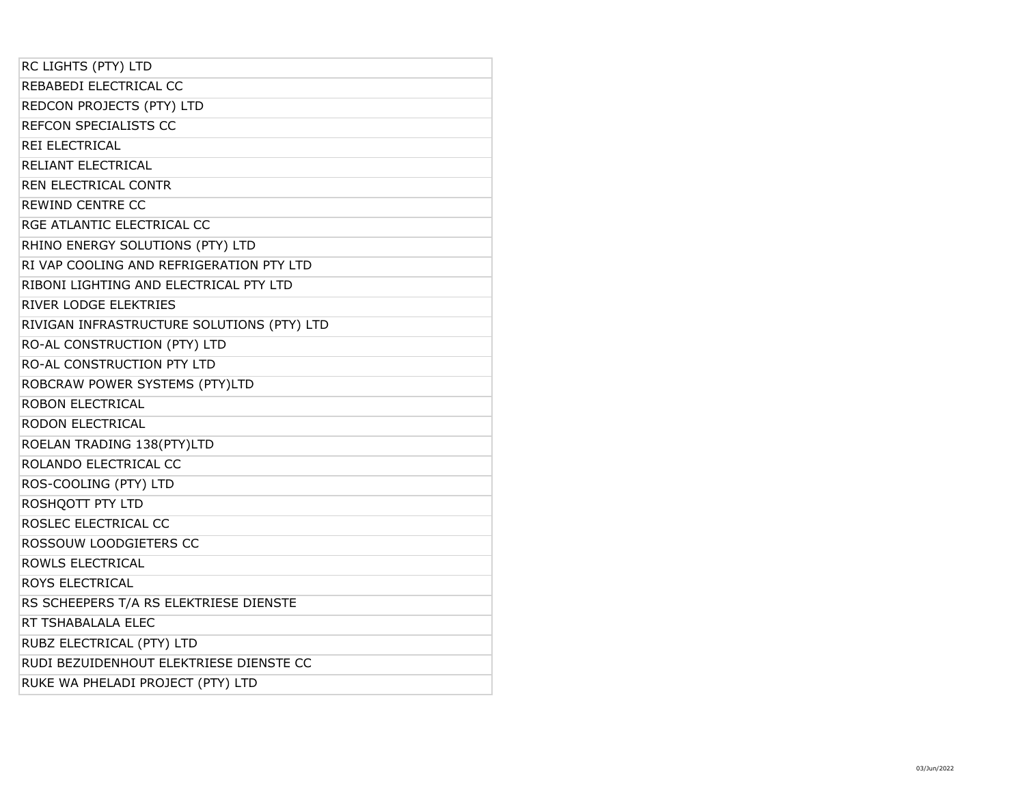| RC LIGHTS (PTY) LTD                        |
|--------------------------------------------|
| REBABEDI ELECTRICAL CC                     |
| REDCON PROJECTS (PTY) LTD                  |
| REFCON SPECIALISTS CC                      |
| REI ELECTRICAL                             |
| RELIANT ELECTRICAL                         |
| <b>REN ELECTRICAL CONTR</b>                |
| <b>REWIND CENTRE CC</b>                    |
| RGE ATLANTIC ELECTRICAL CC                 |
| RHINO ENERGY SOLUTIONS (PTY) LTD           |
| RI VAP COOLING AND REFRIGERATION PTY LTD   |
| RIBONI LIGHTING AND ELECTRICAL PTY LTD     |
| <b>RIVER LODGE ELEKTRIES</b>               |
| RIVIGAN INFRASTRUCTURE SOLUTIONS (PTY) LTD |
| RO-AL CONSTRUCTION (PTY) LTD               |
| RO-AL CONSTRUCTION PTY LTD                 |
| ROBCRAW POWER SYSTEMS (PTY)LTD             |
| ROBON ELECTRICAL                           |
| RODON ELECTRICAL                           |
| ROELAN TRADING 138(PTY)LTD                 |
| ROLANDO ELECTRICAL CC                      |
| ROS-COOLING (PTY) LTD                      |
| ROSHOOTT PTY LTD                           |
| ROSLEC ELECTRICAL CC                       |
| ROSSOUW LOODGIETERS CC                     |
| ROWLS ELECTRICAL                           |
| ROYS ELECTRICAL                            |
| RS SCHEEPERS T/A RS ELEKTRIESE DIENSTE     |
| RT TSHABALALA ELEC                         |
| RUBZ ELECTRICAL (PTY) LTD                  |
| RUDI BEZUIDENHOUT ELEKTRIESE DIENSTE CC    |
| RUKE WA PHELADI PROJECT (PTY) LTD          |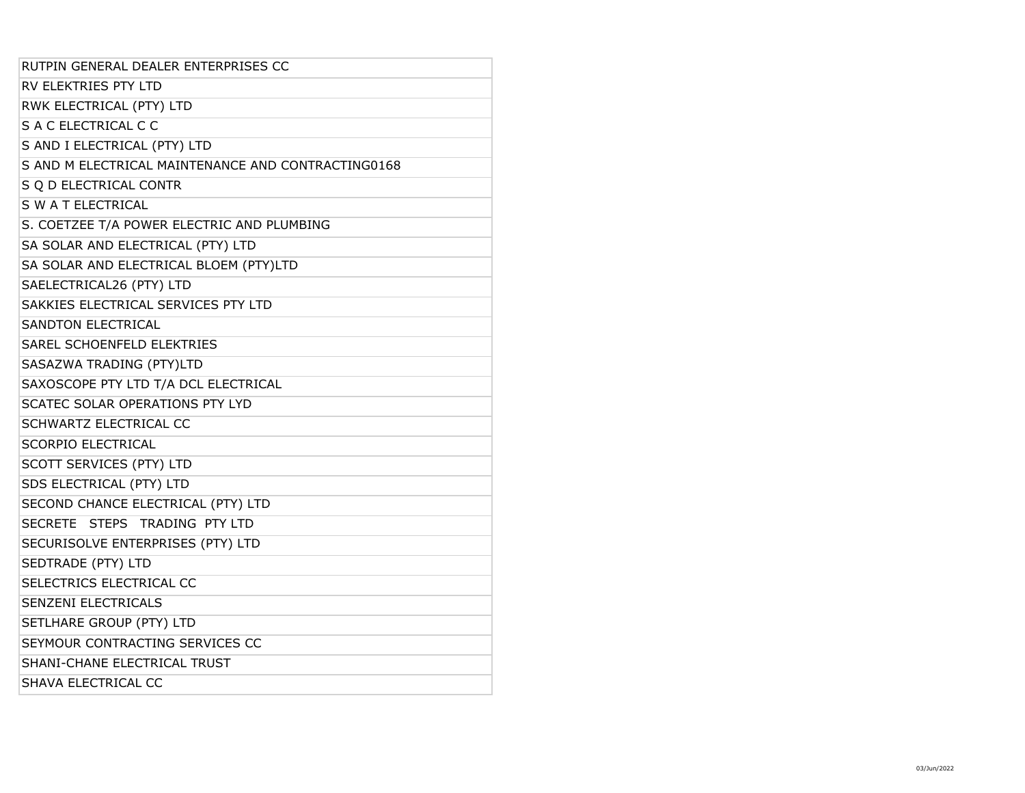| RUTPIN GENERAL DEALER ENTERPRISES CC               |
|----------------------------------------------------|
| RV ELEKTRIES PTY LTD                               |
| RWK ELECTRICAL (PTY) LTD                           |
| S A C ELECTRICAL C C                               |
| S AND I ELECTRICAL (PTY) LTD                       |
| S AND M ELECTRICAL MAINTENANCE AND CONTRACTING0168 |
| S Q D ELECTRICAL CONTR                             |
| S W A T ELECTRICAL                                 |
| S. COETZEE T/A POWER ELECTRIC AND PLUMBING         |
| SA SOLAR AND ELECTRICAL (PTY) LTD                  |
| SA SOLAR AND ELECTRICAL BLOEM (PTY)LTD             |
| SAELECTRICAL26 (PTY) LTD                           |
| SAKKIES ELECTRICAL SERVICES PTY LTD                |
| <b>SANDTON ELECTRICAL</b>                          |
| SAREL SCHOENFELD ELEKTRIES                         |
| SASAZWA TRADING (PTY)LTD                           |
| SAXOSCOPE PTY LTD T/A DCL ELECTRICAL               |
| SCATEC SOLAR OPERATIONS PTY LYD                    |
| SCHWARTZ ELECTRICAL CC                             |
| <b>SCORPIO ELECTRICAL</b>                          |
| SCOTT SERVICES (PTY) LTD                           |
| SDS ELECTRICAL (PTY) LTD                           |
| SECOND CHANCE ELECTRICAL (PTY) LTD                 |
| SECRETE STEPS TRADING PTY LTD                      |
| SECURISOLVE ENTERPRISES (PTY) LTD                  |
| SEDTRADE (PTY) LTD                                 |
| SELECTRICS ELECTRICAL CC                           |
| SENZENI ELECTRICALS                                |
| SETLHARE GROUP (PTY) LTD                           |
| SEYMOUR CONTRACTING SERVICES CC                    |
| SHANI-CHANE ELECTRICAL TRUST                       |
| SHAVA ELECTRICAL CC                                |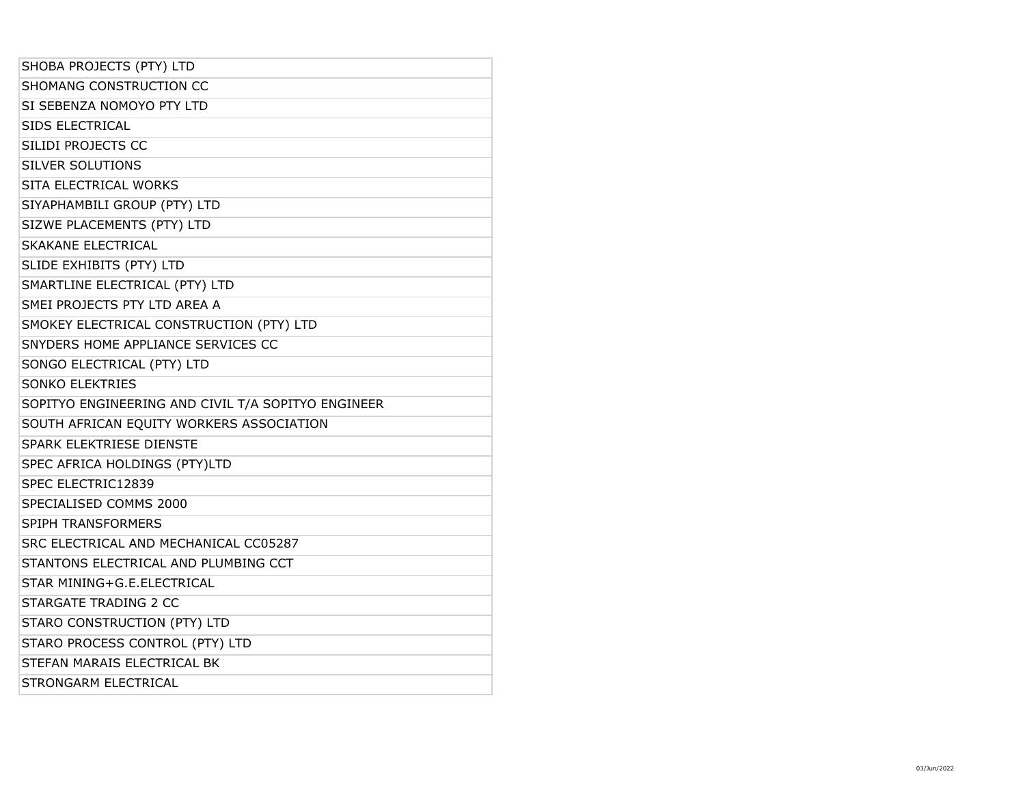| SHOBA PROJECTS (PTY) LTD                           |
|----------------------------------------------------|
| SHOMANG CONSTRUCTION CC                            |
| SI SEBENZA NOMOYO PTY LTD                          |
| <b>SIDS ELECTRICAL</b>                             |
| SILIDI PROJECTS CC                                 |
| <b>SILVER SOLUTIONS</b>                            |
| SITA ELECTRICAL WORKS                              |
| SIYAPHAMBILI GROUP (PTY) LTD                       |
| SIZWE PLACEMENTS (PTY) LTD                         |
| SKAKANE ELECTRICAL                                 |
| SLIDE EXHIBITS (PTY) LTD                           |
| SMARTLINE ELECTRICAL (PTY) LTD                     |
| SMEI PROJECTS PTY LTD AREA A                       |
| SMOKEY ELECTRICAL CONSTRUCTION (PTY) LTD           |
| SNYDERS HOME APPLIANCE SERVICES CC                 |
| SONGO ELECTRICAL (PTY) LTD                         |
| <b>SONKO ELEKTRIES</b>                             |
| SOPITYO ENGINEERING AND CIVIL T/A SOPITYO ENGINEER |
|                                                    |
| SOUTH AFRICAN EQUITY WORKERS ASSOCIATION           |
| <b>SPARK ELEKTRIESE DIENSTE</b>                    |
| SPEC AFRICA HOLDINGS (PTY)LTD                      |
| SPEC ELECTRIC12839                                 |
| SPECIALISED COMMS 2000                             |
| SPIPH TRANSFORMERS                                 |
| SRC ELECTRICAL AND MECHANICAL CC05287              |
| STANTONS ELECTRICAL AND PLUMBING CCT               |
| STAR MINING+G.E.ELECTRICAL                         |
| STARGATE TRADING 2 CC                              |
| STARO CONSTRUCTION (PTY) LTD                       |
| STARO PROCESS CONTROL (PTY) LTD                    |
| STEFAN MARAIS ELECTRICAL BK                        |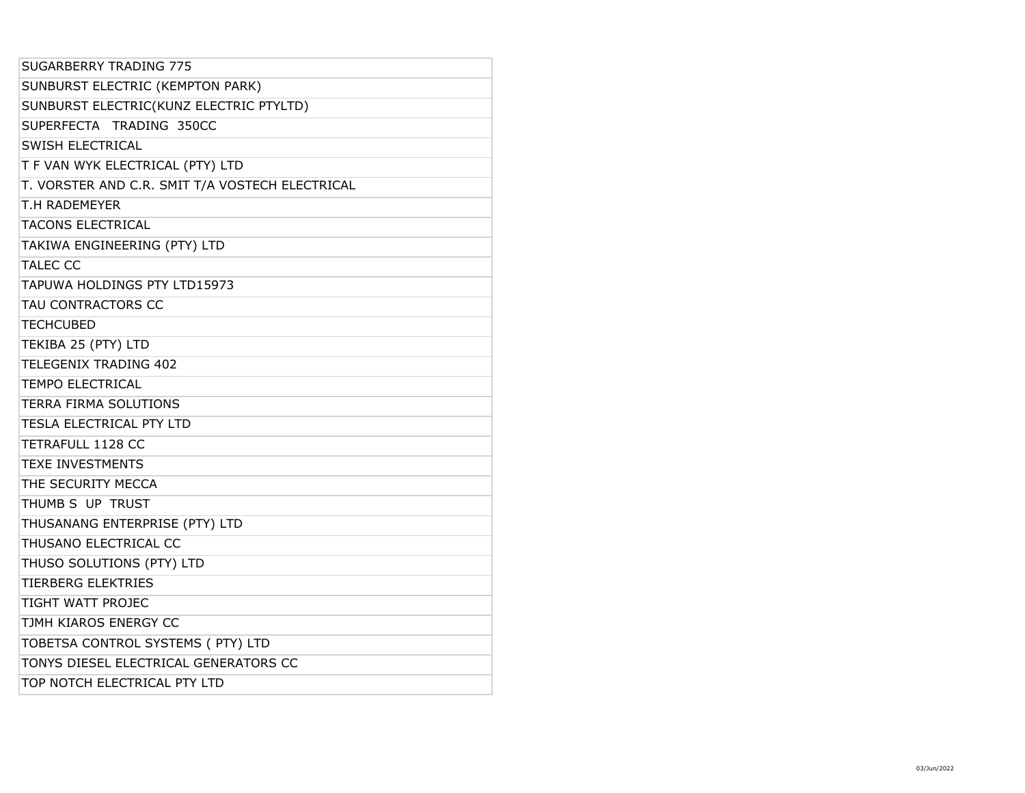| SUGARBERRY TRADING 775                          |  |
|-------------------------------------------------|--|
| SUNBURST ELECTRIC (KEMPTON PARK)                |  |
| SUNBURST ELECTRIC(KUNZ ELECTRIC PTYLTD)         |  |
| SUPERFECTA TRADING 350CC                        |  |
| SWISH ELECTRICAL                                |  |
| T F VAN WYK ELECTRICAL (PTY) LTD                |  |
| T. VORSTER AND C.R. SMIT T/A VOSTECH ELECTRICAL |  |
| T.H RADEMEYER                                   |  |
| <b>TACONS ELECTRICAL</b>                        |  |
| TAKIWA ENGINEERING (PTY) LTD                    |  |
| <b>TALEC CC</b>                                 |  |
| TAPUWA HOLDINGS PTY LTD15973                    |  |
| TAU CONTRACTORS CC                              |  |
| <b>TECHCUBED</b>                                |  |
| TEKIBA 25 (PTY) LTD                             |  |
| <b>TELEGENIX TRADING 402</b>                    |  |
| <b>TEMPO ELECTRICAL</b>                         |  |
| TERRA FIRMA SOLUTIONS                           |  |
| <b>TESLA ELECTRICAL PTY LTD</b>                 |  |
| <b>TETRAFULL 1128 CC</b>                        |  |
| <b>TEXE INVESTMENTS</b>                         |  |
| THE SECURITY MECCA                              |  |
| THUMB S UP TRUST                                |  |
| THUSANANG ENTERPRISE (PTY) LTD                  |  |
| THUSANO ELECTRICAL CC                           |  |
| THUSO SOLUTIONS (PTY) LTD                       |  |
| <b>TIERBERG ELEKTRIES</b>                       |  |
| TIGHT WATT PROJEC                               |  |
| TJMH KIAROS ENERGY CC                           |  |
| TOBETSA CONTROL SYSTEMS ( PTY) LTD              |  |
| TONYS DIESEL ELECTRICAL GENERATORS CC           |  |
| TOP NOTCH ELECTRICAL PTY LTD                    |  |
|                                                 |  |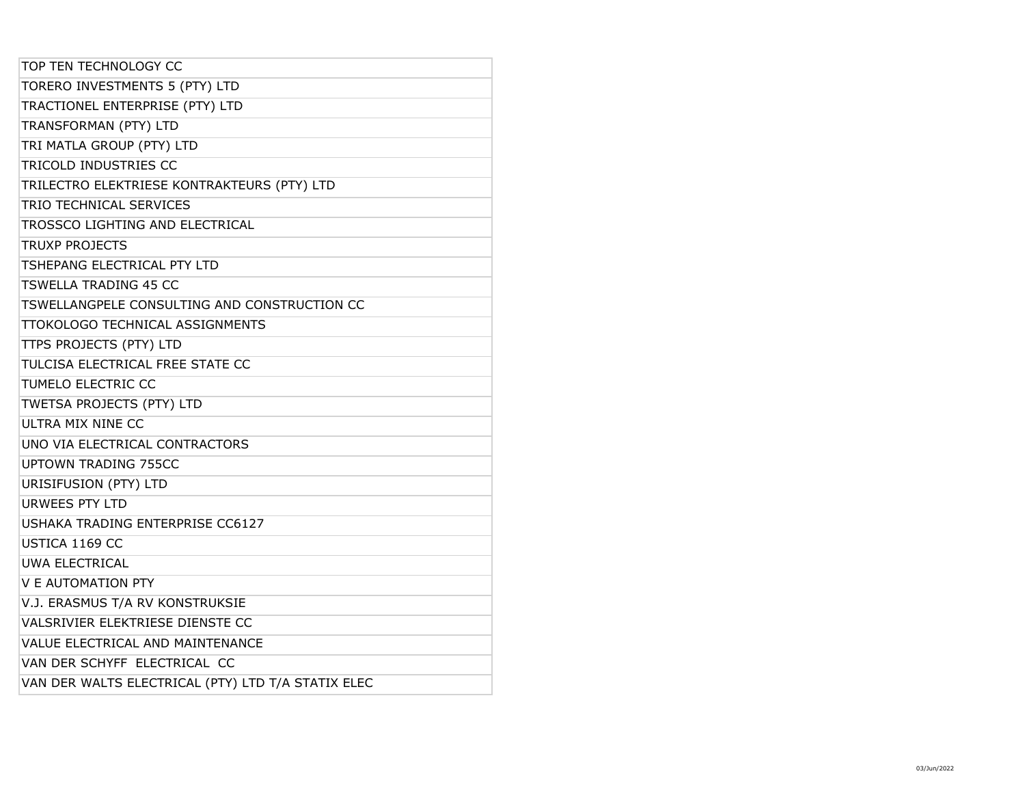| TOP TEN TECHNOLOGY CC                              |  |
|----------------------------------------------------|--|
| TORERO INVESTMENTS 5 (PTY) LTD                     |  |
| TRACTIONEL ENTERPRISE (PTY) LTD                    |  |
| TRANSFORMAN (PTY) LTD                              |  |
| TRI MATLA GROUP (PTY) LTD                          |  |
| TRICOLD INDUSTRIES CC                              |  |
| TRILECTRO ELEKTRIESE KONTRAKTEURS (PTY) LTD        |  |
| TRIO TECHNICAL SERVICES                            |  |
| TROSSCO LIGHTING AND ELECTRICAL                    |  |
| <b>TRUXP PROJECTS</b>                              |  |
| TSHEPANG ELECTRICAL PTY LTD                        |  |
| <b>TSWELLA TRADING 45 CC</b>                       |  |
| TSWELLANGPELE CONSULTING AND CONSTRUCTION CC       |  |
| TTOKOLOGO TECHNICAL ASSIGNMENTS                    |  |
| TTPS PROJECTS (PTY) LTD                            |  |
| TULCISA ELECTRICAL FREE STATE CC                   |  |
| TUMELO ELECTRIC CC                                 |  |
| TWETSA PROJECTS (PTY) LTD                          |  |
| ULTRA MIX NINE CC                                  |  |
| UNO VIA ELECTRICAL CONTRACTORS                     |  |
| <b>UPTOWN TRADING 755CC</b>                        |  |
| URISIFUSION (PTY) LTD                              |  |
| <b>URWEES PTY LTD</b>                              |  |
| <b>USHAKA TRADING ENTERPRISE CC6127</b>            |  |
| USTICA 1169 CC                                     |  |
| <b>UWA ELECTRICAL</b>                              |  |
| <b>V E AUTOMATION PTY</b>                          |  |
| V.J. ERASMUS T/A RV KONSTRUKSIE                    |  |
| VALSRIVIER ELEKTRIESE DIENSTE CC                   |  |
| VALUE ELECTRICAL AND MAINTENANCE                   |  |
| VAN DER SCHYFF ELECTRICAL CC                       |  |
| VAN DER WALTS ELECTRICAL (PTY) LTD T/A STATIX ELEC |  |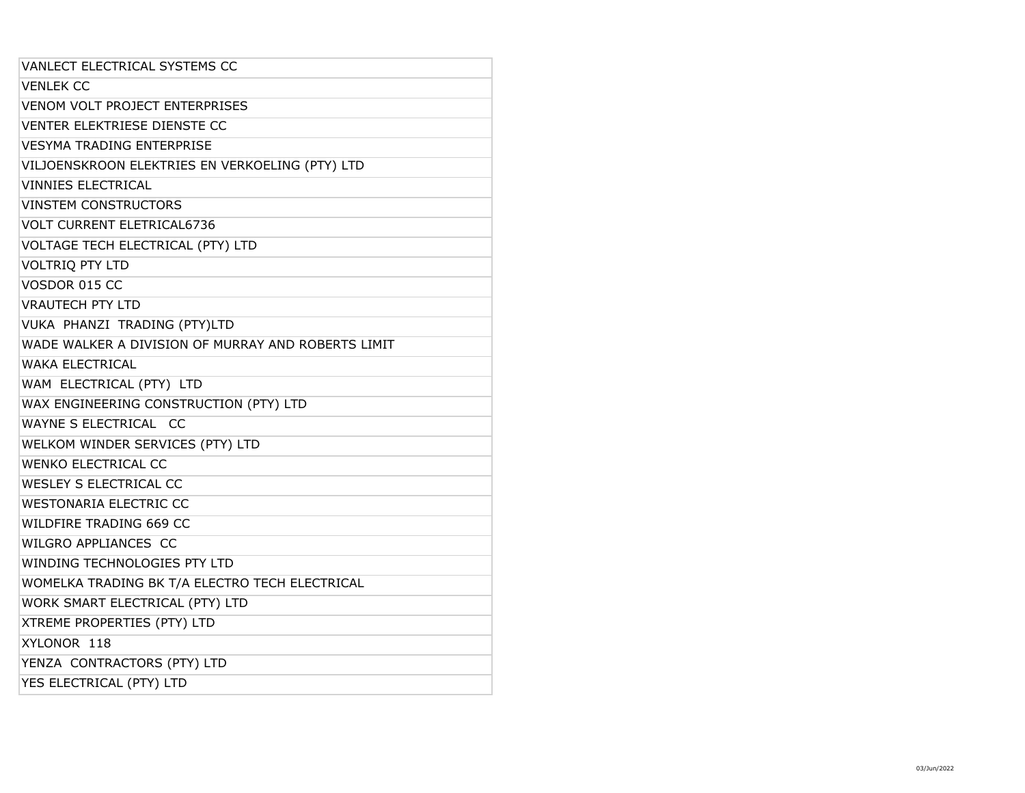| VANLECT ELECTRICAL SYSTEMS CC                      |
|----------------------------------------------------|
| <b>VENLEK CC</b>                                   |
| VENOM VOLT PROJECT ENTERPRISES                     |
| <b>VENTER ELEKTRIESE DIENSTE CC</b>                |
| <b>VESYMA TRADING ENTERPRISE</b>                   |
| VILJOENSKROON ELEKTRIES EN VERKOELING (PTY) LTD    |
| <b>VINNIES ELECTRICAL</b>                          |
| <b>VINSTEM CONSTRUCTORS</b>                        |
| <b>VOLT CURRENT ELETRICAL6736</b>                  |
| VOLTAGE TECH ELECTRICAL (PTY) LTD                  |
| <b>VOLTRIQ PTY LTD</b>                             |
| VOSDOR 015 CC                                      |
| <b>VRAUTECH PTY LTD</b>                            |
| VUKA PHANZI TRADING (PTY)LTD                       |
| WADE WALKER A DIVISION OF MURRAY AND ROBERTS LIMIT |
| <b>WAKA ELECTRICAL</b>                             |
| WAM ELECTRICAL (PTY) LTD                           |
| WAX ENGINEERING CONSTRUCTION (PTY) LTD             |
| WAYNE S ELECTRICAL CC                              |
| WELKOM WINDER SERVICES (PTY) LTD                   |
| <b>WENKO ELECTRICAL CC</b>                         |
| WESLEY S ELECTRICAL CC                             |
| <b>WESTONARIA ELECTRIC CC</b>                      |
| WILDFIRE TRADING 669 CC                            |
| WILGRO APPLIANCES CC                               |
| WINDING TECHNOLOGIES PTY LTD                       |
| WOMELKA TRADING BK T/A ELECTRO TECH ELECTRICAL     |
| WORK SMART ELECTRICAL (PTY) LTD                    |
| XTREME PROPERTIES (PTY) LTD                        |
| XYLONOR 118                                        |
| YENZA CONTRACTORS (PTY) LTD                        |
| YES ELECTRICAL (PTY) LTD                           |